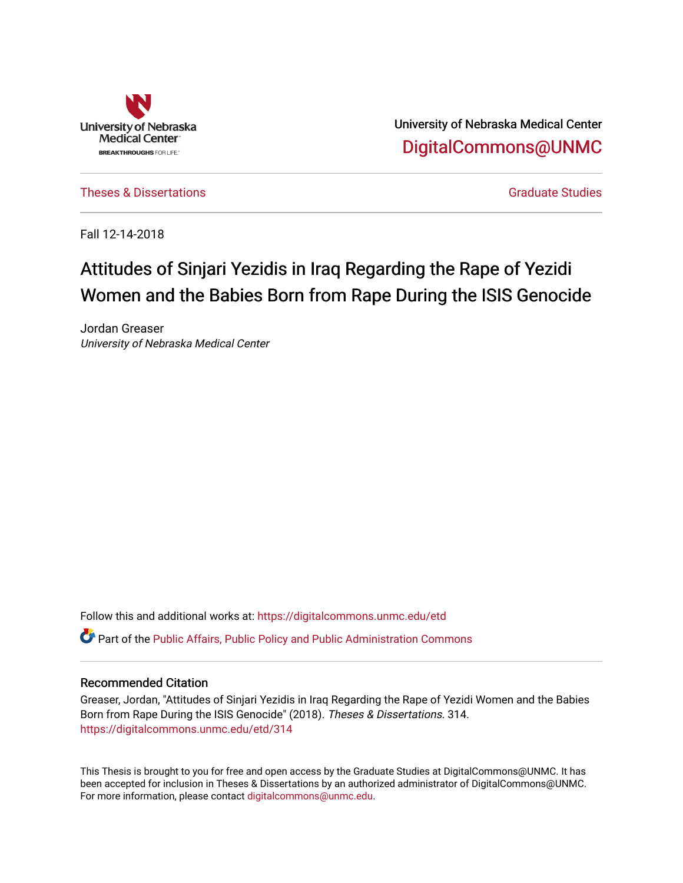

University of Nebraska Medical Center [DigitalCommons@UNMC](https://digitalcommons.unmc.edu/) 

[Theses & Dissertations](https://digitalcommons.unmc.edu/etd) [Graduate Studies](https://digitalcommons.unmc.edu/grad_studies) and Graduate Studies Creations Creations of Graduate Studies

Fall 12-14-2018

# Attitudes of Sinjari Yezidis in Iraq Regarding the Rape of Yezidi Women and the Babies Born from Rape During the ISIS Genocide

Jordan Greaser University of Nebraska Medical Center

Follow this and additional works at: [https://digitalcommons.unmc.edu/etd](https://digitalcommons.unmc.edu/etd?utm_source=digitalcommons.unmc.edu%2Fetd%2F314&utm_medium=PDF&utm_campaign=PDFCoverPages) **C** Part of the Public Affairs, Public Policy and Public Administration Commons

# Recommended Citation

Greaser, Jordan, "Attitudes of Sinjari Yezidis in Iraq Regarding the Rape of Yezidi Women and the Babies Born from Rape During the ISIS Genocide" (2018). Theses & Dissertations. 314. [https://digitalcommons.unmc.edu/etd/314](https://digitalcommons.unmc.edu/etd/314?utm_source=digitalcommons.unmc.edu%2Fetd%2F314&utm_medium=PDF&utm_campaign=PDFCoverPages)

This Thesis is brought to you for free and open access by the Graduate Studies at DigitalCommons@UNMC. It has been accepted for inclusion in Theses & Dissertations by an authorized administrator of DigitalCommons@UNMC. For more information, please contact [digitalcommons@unmc.edu](mailto:digitalcommons@unmc.edu).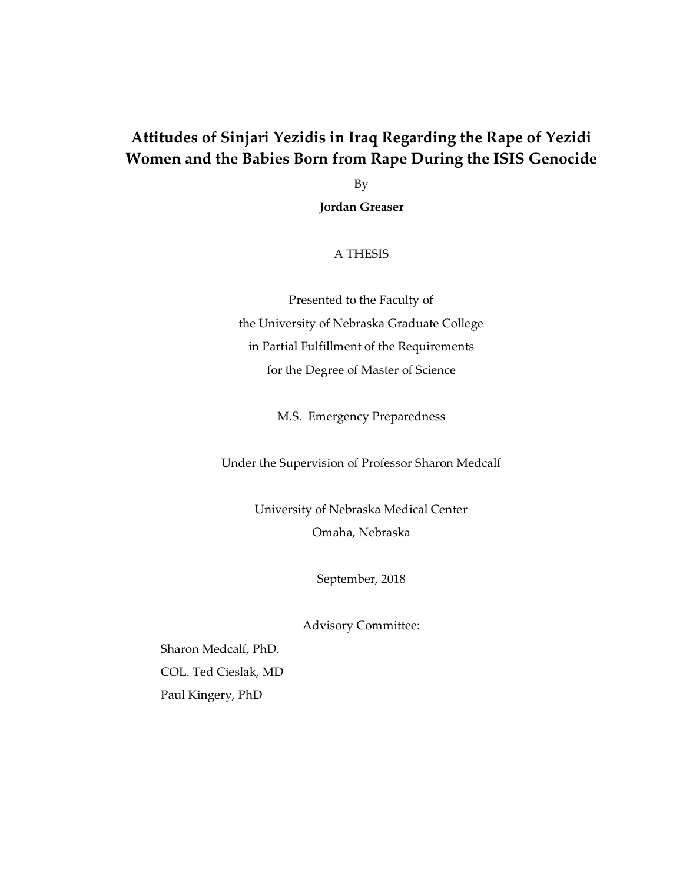# **Attitudes of Sinjari Yezidis in Iraq Regarding the Rape of Yezidi Women and the Babies Born from Rape During the ISIS Genocide**

By **Jordan Greaser**

# A THESIS

Presented to the Faculty of the University of Nebraska Graduate College in Partial Fulfillment of the Requirements for the Degree of Master of Science

M.S. Emergency Preparedness

Under the Supervision of Professor Sharon Medcalf

University of Nebraska Medical Center Omaha, Nebraska

September, 2018

Advisory Committee:

Sharon Medcalf, PhD. COL. Ted Cieslak, MD Paul Kingery, PhD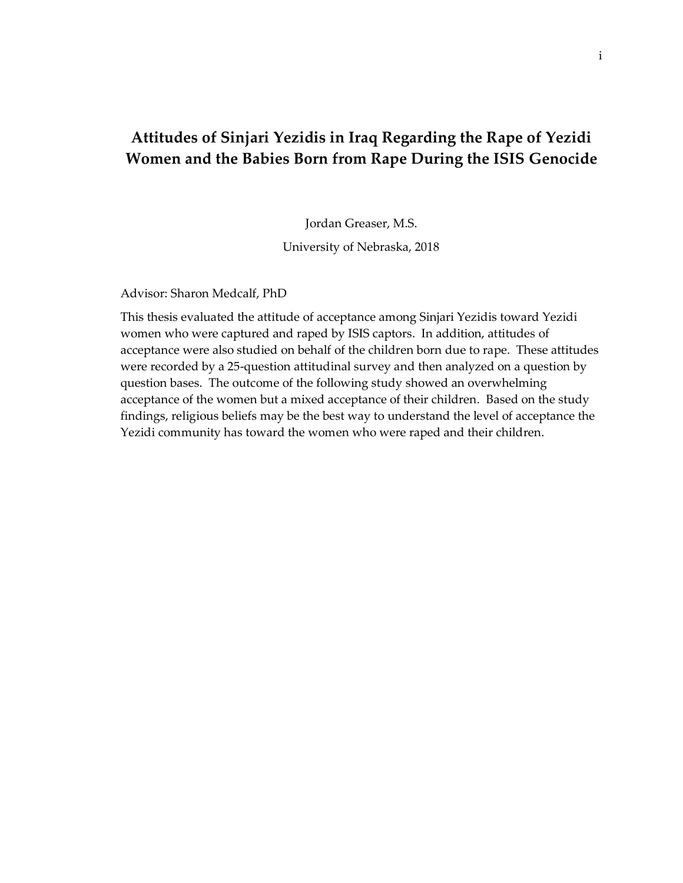# **Attitudes of Sinjari Yezidis in Iraq Regarding the Rape of Yezidi Women and the Babies Born from Rape During the ISIS Genocide**

Jordan Greaser, M.S.

University of Nebraska, 2018

Advisor: Sharon Medcalf, PhD

This thesis evaluated the attitude of acceptance among Sinjari Yezidis toward Yezidi women who were captured and raped by ISIS captors. In addition, attitudes of acceptance were also studied on behalf of the children born due to rape. These attitudes were recorded by a 25-question attitudinal survey and then analyzed on a question by question bases. The outcome of the following study showed an overwhelming acceptance of the women but a mixed acceptance of their children. Based on the study findings, religious beliefs may be the best way to understand the level of acceptance the Yezidi community has toward the women who were raped and their children.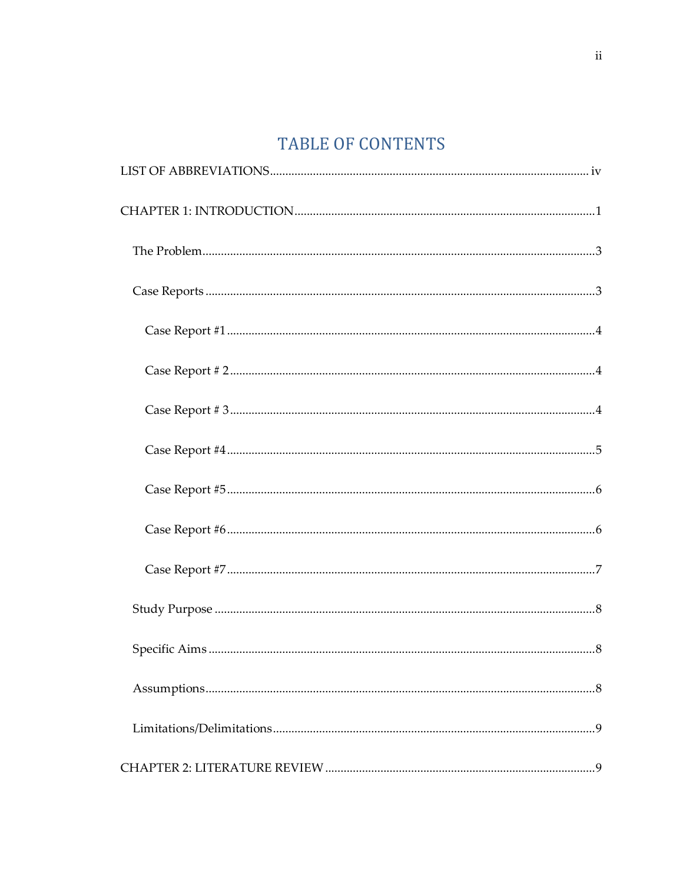# TABLE OF CONTENTS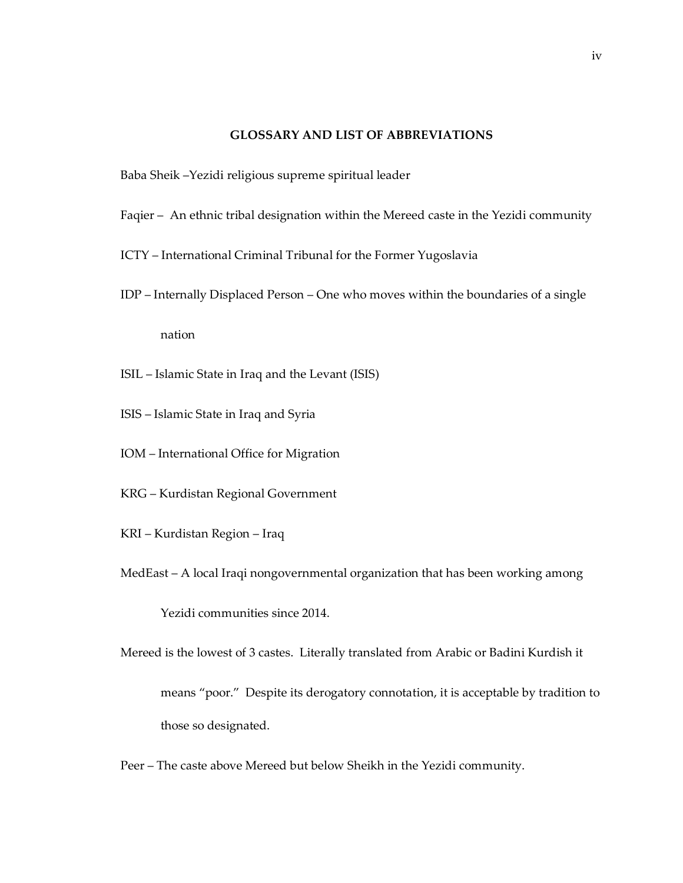# **GLOSSARY AND LIST OF ABBREVIATIONS**

- <span id="page-5-0"></span>Baba Sheik –Yezidi religious supreme spiritual leader
- Faqier An ethnic tribal designation within the Mereed caste in the Yezidi community
- ICTY International Criminal Tribunal for the Former Yugoslavia
- IDP Internally Displaced Person One who moves within the boundaries of a single nation
- ISIL Islamic State in Iraq and the Levant (ISIS)
- ISIS Islamic State in Iraq and Syria
- IOM International Office for Migration
- KRG Kurdistan Regional Government
- KRI Kurdistan Region Iraq
- MedEast A local Iraqi nongovernmental organization that has been working among

Yezidi communities since 2014.

- Mereed is the lowest of 3 castes. Literally translated from Arabic or Badini Kurdish it means "poor." Despite its derogatory connotation, it is acceptable by tradition to those so designated.
- Peer The caste above Mereed but below Sheikh in the Yezidi community.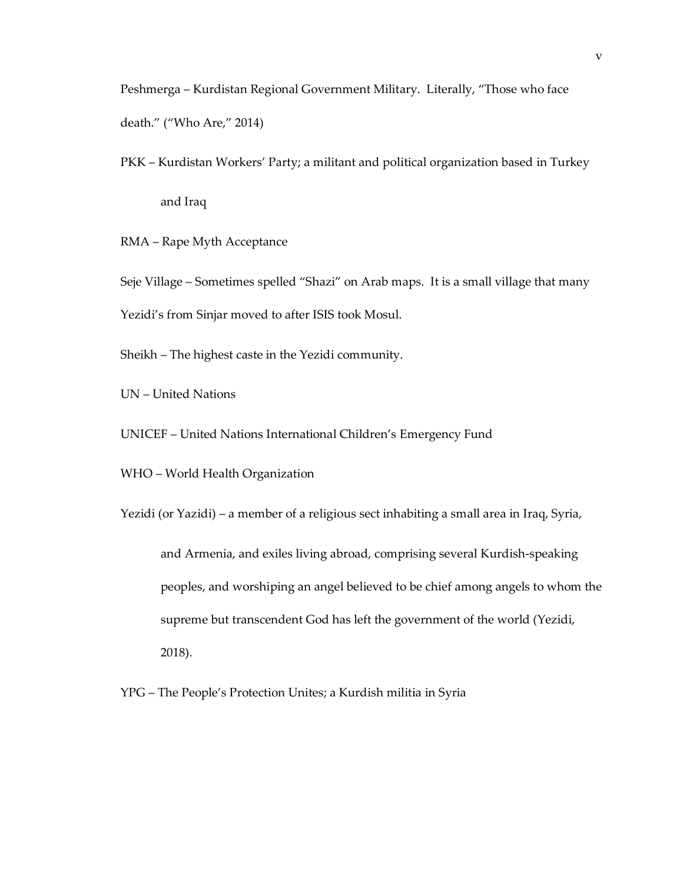Peshmerga – Kurdistan Regional Government Military. Literally, "Those who face death." ("Who Are," 2014)

PKK – Kurdistan Workers' Party; a militant and political organization based in Turkey and Iraq

RMA – Rape Myth Acceptance

Seje Village – Sometimes spelled "Shazi" on Arab maps. It is a small village that many Yezidi's from Sinjar moved to after ISIS took Mosul.

Sheikh – The highest caste in the Yezidi community.

UN – United Nations

UNICEF – United Nations International Children's Emergency Fund

WHO – World Health Organization

Yezidi (or Yazidi) – a member of a religious sect inhabiting a small area in Iraq, Syria, and Armenia, and exiles living abroad, comprising several Kurdish-speaking peoples, and worshiping an angel believed to be chief among angels to whom the supreme but transcendent God has left the government of the world (Yezidi, 2018).

YPG – The People's Protection Unites; a Kurdish militia in Syria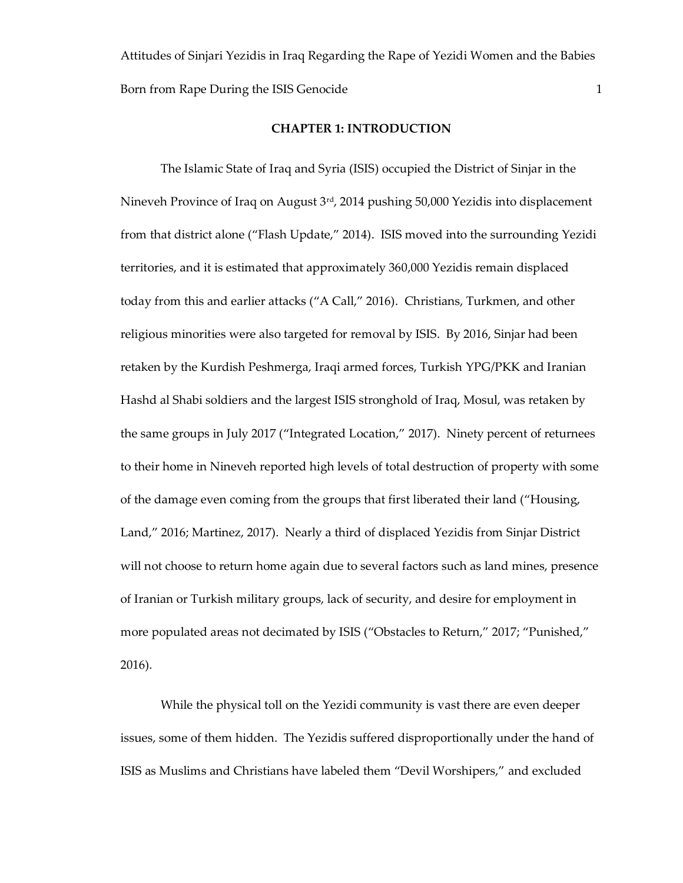Attitudes of Sinjari Yezidis in Iraq Regarding the Rape of Yezidi Women and the Babies Born from Rape During the ISIS Genocide 1 and 1 and 1 and 1 and 1 and 1 and 1 and 1 and 1 and 1 and 1 and 1 and 1 and 1 and 1 and 1 and 1 and 1 and 1 and 1 and 1 and 1 and 1 and 1 and 1 and 1 and 1 and 1 and 1 and 1 and 1

#### **CHAPTER 1: INTRODUCTION**

<span id="page-7-0"></span>The Islamic State of Iraq and Syria (ISIS) occupied the District of Sinjar in the Nineveh Province of Iraq on August 3<sup>rd</sup>, 2014 pushing 50,000 Yezidis into displacement from that district alone ("Flash Update," 2014). ISIS moved into the surrounding Yezidi territories, and it is estimated that approximately 360,000 Yezidis remain displaced today from this and earlier attacks ("A Call," 2016). Christians, Turkmen, and other religious minorities were also targeted for removal by ISIS. By 2016, Sinjar had been retaken by the Kurdish Peshmerga, Iraqi armed forces, Turkish YPG/PKK and Iranian Hashd al Shabi soldiers and the largest ISIS stronghold of Iraq, Mosul, was retaken by the same groups in July 2017 ("Integrated Location," 2017). Ninety percent of returnees to their home in Nineveh reported high levels of total destruction of property with some of the damage even coming from the groups that first liberated their land ("Housing, Land," 2016; Martinez, 2017). Nearly a third of displaced Yezidis from Sinjar District will not choose to return home again due to several factors such as land mines, presence of Iranian or Turkish military groups, lack of security, and desire for employment in more populated areas not decimated by ISIS ("Obstacles to Return," 2017; "Punished," 2016).

While the physical toll on the Yezidi community is vast there are even deeper issues, some of them hidden. The Yezidis suffered disproportionally under the hand of ISIS as Muslims and Christians have labeled them "Devil Worshipers," and excluded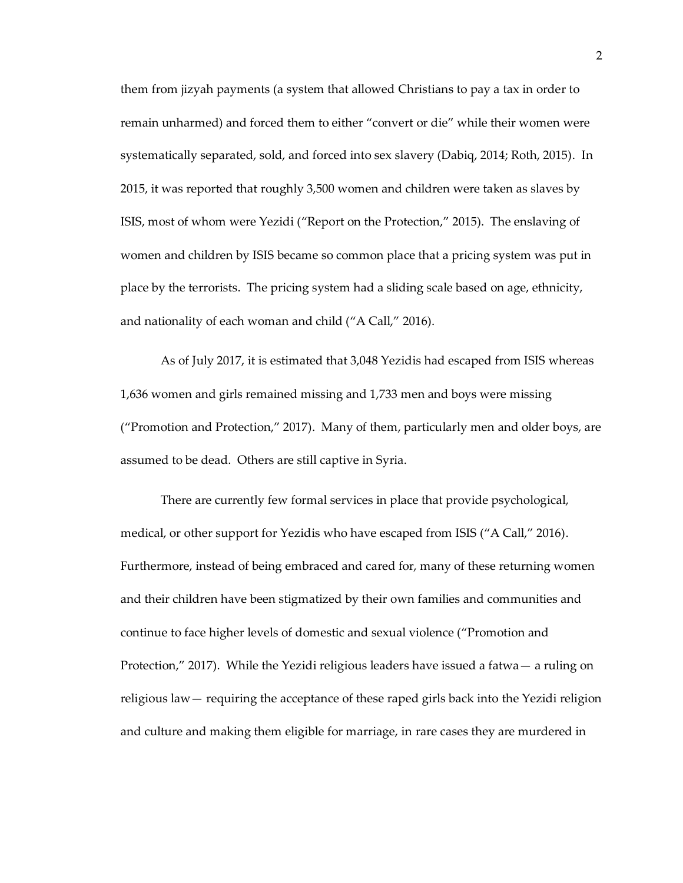them from jizyah payments (a system that allowed Christians to pay a tax in order to remain unharmed) and forced them to either "convert or die" while their women were systematically separated, sold, and forced into sex slavery (Dabiq, 2014; Roth, 2015). In 2015, it was reported that roughly 3,500 women and children were taken as slaves by ISIS, most of whom were Yezidi ("Report on the Protection," 2015). The enslaving of women and children by ISIS became so common place that a pricing system was put in place by the terrorists. The pricing system had a sliding scale based on age, ethnicity, and nationality of each woman and child ("A Call," 2016).

As of July 2017, it is estimated that 3,048 Yezidis had escaped from ISIS whereas 1,636 women and girls remained missing and 1,733 men and boys were missing ("Promotion and Protection," 2017). Many of them, particularly men and older boys, are assumed to be dead. Others are still captive in Syria.

There are currently few formal services in place that provide psychological, medical, or other support for Yezidis who have escaped from ISIS ("A Call," 2016). Furthermore, instead of being embraced and cared for, many of these returning women and their children have been stigmatized by their own families and communities and continue to face higher levels of domestic and sexual violence ("Promotion and Protection," 2017). While the Yezidi religious leaders have issued a fatwa— a ruling on religious law— requiring the acceptance of these raped girls back into the Yezidi religion and culture and making them eligible for marriage, in rare cases they are murdered in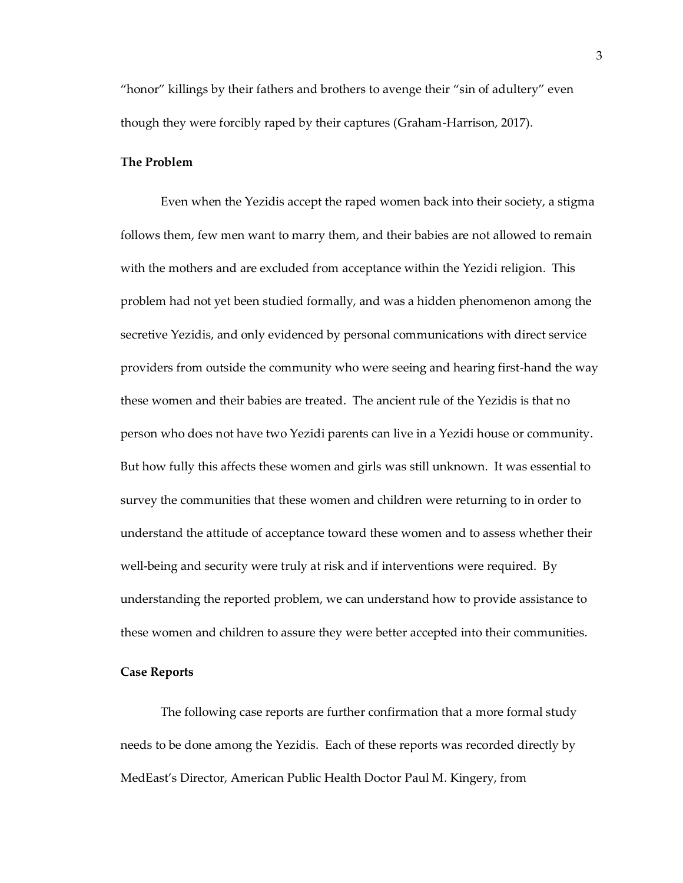"honor" killings by their fathers and brothers to avenge their "sin of adultery" even though they were forcibly raped by their captures (Graham-Harrison, 2017).

#### <span id="page-9-0"></span>**The Problem**

Even when the Yezidis accept the raped women back into their society, a stigma follows them, few men want to marry them, and their babies are not allowed to remain with the mothers and are excluded from acceptance within the Yezidi religion. This problem had not yet been studied formally, and was a hidden phenomenon among the secretive Yezidis, and only evidenced by personal communications with direct service providers from outside the community who were seeing and hearing first-hand the way these women and their babies are treated. The ancient rule of the Yezidis is that no person who does not have two Yezidi parents can live in a Yezidi house or community. But how fully this affects these women and girls was still unknown. It was essential to survey the communities that these women and children were returning to in order to understand the attitude of acceptance toward these women and to assess whether their well-being and security were truly at risk and if interventions were required. By understanding the reported problem, we can understand how to provide assistance to these women and children to assure they were better accepted into their communities.

## <span id="page-9-1"></span>**Case Reports**

The following case reports are further confirmation that a more formal study needs to be done among the Yezidis. Each of these reports was recorded directly by MedEast's Director, American Public Health Doctor Paul M. Kingery, from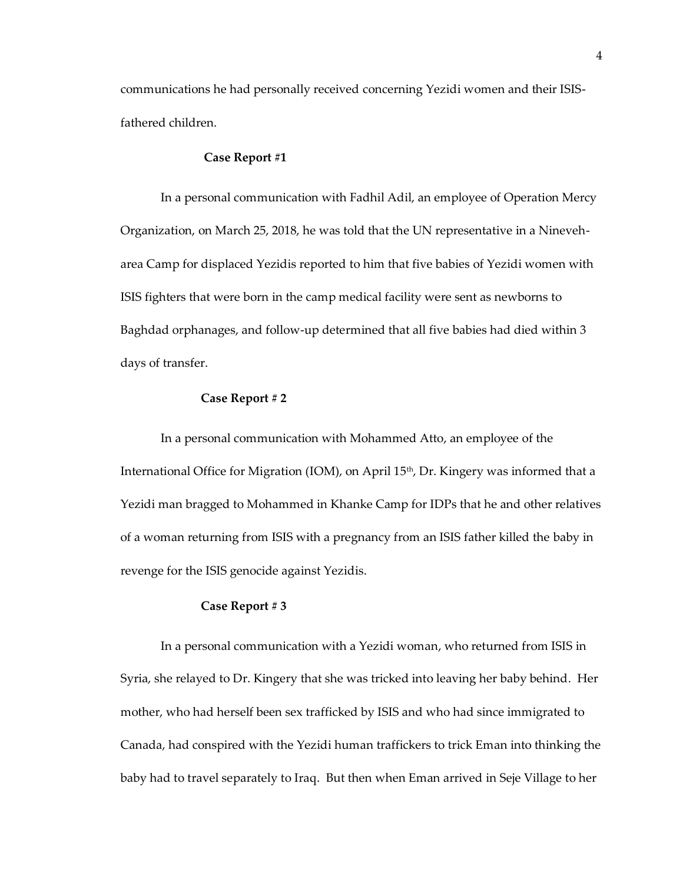communications he had personally received concerning Yezidi women and their ISISfathered children.

#### <span id="page-10-0"></span>**Case Report #1**

In a personal communication with Fadhil Adil, an employee of Operation Mercy Organization, on March 25, 2018, he was told that the UN representative in a Nineveharea Camp for displaced Yezidis reported to him that five babies of Yezidi women with ISIS fighters that were born in the camp medical facility were sent as newborns to Baghdad orphanages, and follow-up determined that all five babies had died within 3 days of transfer.

# **Case Report # 2**

<span id="page-10-1"></span>In a personal communication with Mohammed Atto, an employee of the International Office for Migration (IOM), on April 15<sup>th</sup>, Dr. Kingery was informed that a Yezidi man bragged to Mohammed in Khanke Camp for IDPs that he and other relatives of a woman returning from ISIS with a pregnancy from an ISIS father killed the baby in revenge for the ISIS genocide against Yezidis.

#### **Case Report # 3**

<span id="page-10-2"></span>In a personal communication with a Yezidi woman, who returned from ISIS in Syria, she relayed to Dr. Kingery that she was tricked into leaving her baby behind. Her mother, who had herself been sex trafficked by ISIS and who had since immigrated to Canada, had conspired with the Yezidi human traffickers to trick Eman into thinking the baby had to travel separately to Iraq. But then when Eman arrived in Seje Village to her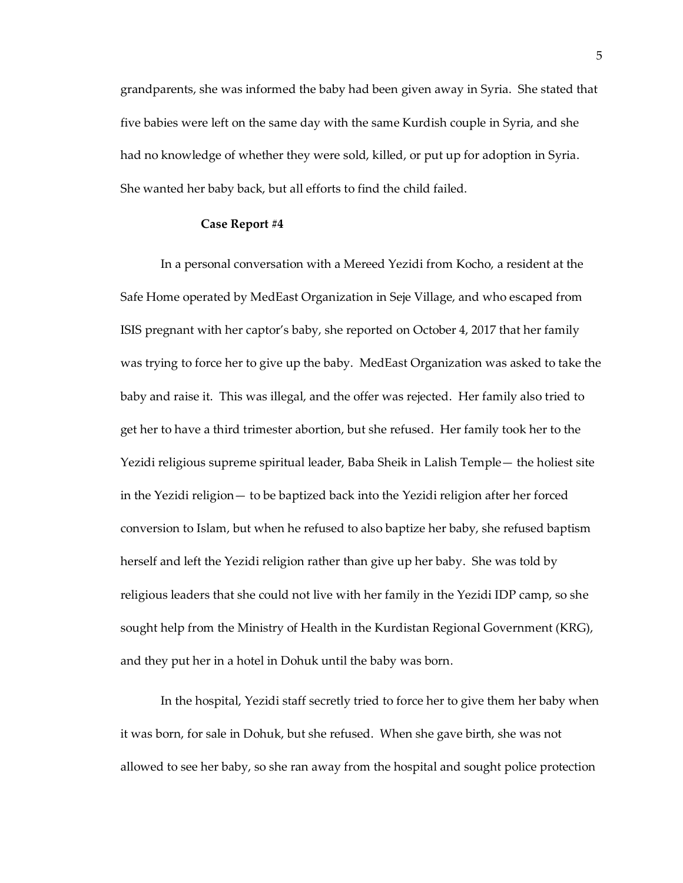grandparents, she was informed the baby had been given away in Syria. She stated that five babies were left on the same day with the same Kurdish couple in Syria, and she had no knowledge of whether they were sold, killed, or put up for adoption in Syria. She wanted her baby back, but all efforts to find the child failed.

#### **Case Report #4**

<span id="page-11-0"></span>In a personal conversation with a Mereed Yezidi from Kocho, a resident at the Safe Home operated by MedEast Organization in Seje Village, and who escaped from ISIS pregnant with her captor's baby, she reported on October 4, 2017 that her family was trying to force her to give up the baby. MedEast Organization was asked to take the baby and raise it. This was illegal, and the offer was rejected. Her family also tried to get her to have a third trimester abortion, but she refused. Her family took her to the Yezidi religious supreme spiritual leader, Baba Sheik in Lalish Temple— the holiest site in the Yezidi religion— to be baptized back into the Yezidi religion after her forced conversion to Islam, but when he refused to also baptize her baby, she refused baptism herself and left the Yezidi religion rather than give up her baby. She was told by religious leaders that she could not live with her family in the Yezidi IDP camp, so she sought help from the Ministry of Health in the Kurdistan Regional Government (KRG), and they put her in a hotel in Dohuk until the baby was born.

In the hospital, Yezidi staff secretly tried to force her to give them her baby when it was born, for sale in Dohuk, but she refused. When she gave birth, she was not allowed to see her baby, so she ran away from the hospital and sought police protection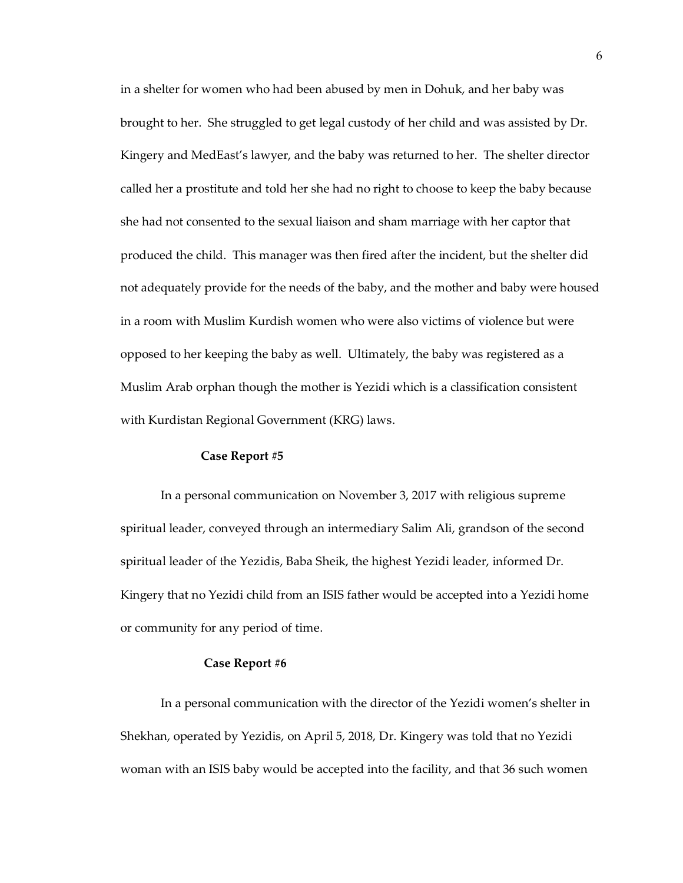in a shelter for women who had been abused by men in Dohuk, and her baby was brought to her. She struggled to get legal custody of her child and was assisted by Dr. Kingery and MedEast's lawyer, and the baby was returned to her. The shelter director called her a prostitute and told her she had no right to choose to keep the baby because she had not consented to the sexual liaison and sham marriage with her captor that produced the child. This manager was then fired after the incident, but the shelter did not adequately provide for the needs of the baby, and the mother and baby were housed in a room with Muslim Kurdish women who were also victims of violence but were opposed to her keeping the baby as well. Ultimately, the baby was registered as a Muslim Arab orphan though the mother is Yezidi which is a classification consistent with Kurdistan Regional Government (KRG) laws.

#### **Case Report #5**

<span id="page-12-0"></span>In a personal communication on November 3, 2017 with religious supreme spiritual leader, conveyed through an intermediary Salim Ali, grandson of the second spiritual leader of the Yezidis, Baba Sheik, the highest Yezidi leader, informed Dr. Kingery that no Yezidi child from an ISIS father would be accepted into a Yezidi home or community for any period of time.

#### <span id="page-12-1"></span>**Case Report #6**

In a personal communication with the director of the Yezidi women's shelter in Shekhan, operated by Yezidis, on April 5, 2018, Dr. Kingery was told that no Yezidi woman with an ISIS baby would be accepted into the facility, and that 36 such women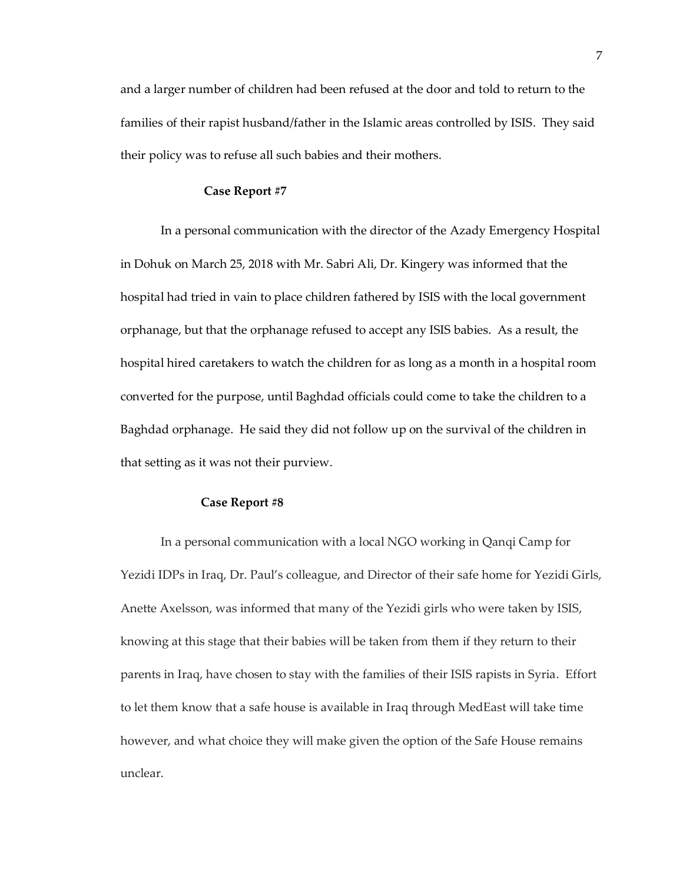and a larger number of children had been refused at the door and told to return to the families of their rapist husband/father in the Islamic areas controlled by ISIS. They said their policy was to refuse all such babies and their mothers.

#### <span id="page-13-0"></span>**Case Report #7**

In a personal communication with the director of the Azady Emergency Hospital in Dohuk on March 25, 2018 with Mr. Sabri Ali, Dr. Kingery was informed that the hospital had tried in vain to place children fathered by ISIS with the local government orphanage, but that the orphanage refused to accept any ISIS babies. As a result, the hospital hired caretakers to watch the children for as long as a month in a hospital room converted for the purpose, until Baghdad officials could come to take the children to a Baghdad orphanage. He said they did not follow up on the survival of the children in that setting as it was not their purview.

# **Case Report #8**

In a personal communication with a local NGO working in Qanqi Camp for Yezidi IDPs in Iraq, Dr. Paul's colleague, and Director of their safe home for Yezidi Girls, Anette Axelsson, was informed that many of the Yezidi girls who were taken by ISIS, knowing at this stage that their babies will be taken from them if they return to their parents in Iraq, have chosen to stay with the families of their ISIS rapists in Syria. Effort to let them know that a safe house is available in Iraq through MedEast will take time however, and what choice they will make given the option of the Safe House remains unclear.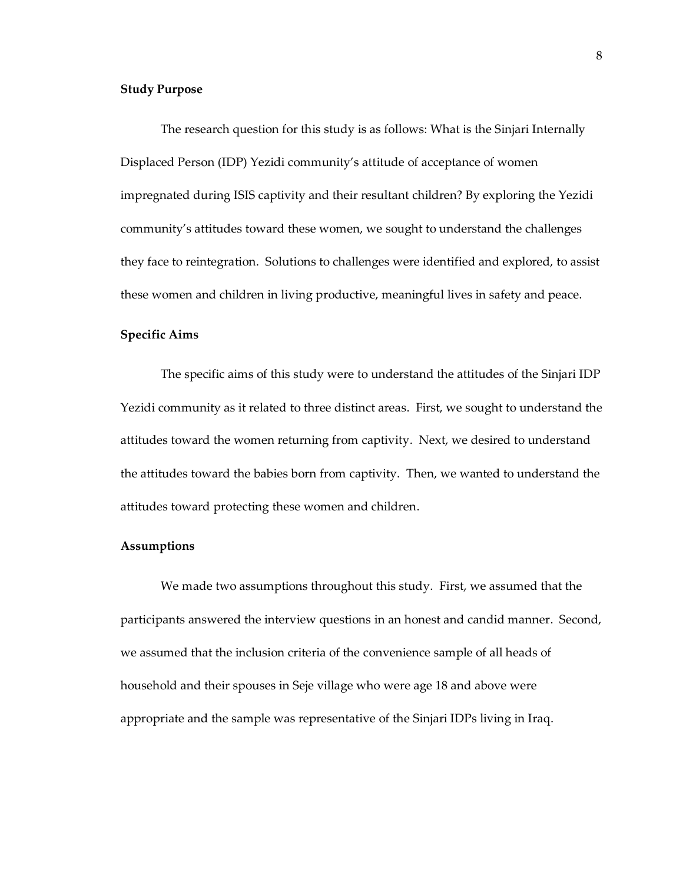# <span id="page-14-0"></span>**Study Purpose**

The research question for this study is as follows: What is the Sinjari Internally Displaced Person (IDP) Yezidi community's attitude of acceptance of women impregnated during ISIS captivity and their resultant children? By exploring the Yezidi community's attitudes toward these women, we sought to understand the challenges they face to reintegration. Solutions to challenges were identified and explored, to assist these women and children in living productive, meaningful lives in safety and peace.

## <span id="page-14-1"></span>**Specific Aims**

The specific aims of this study were to understand the attitudes of the Sinjari IDP Yezidi community as it related to three distinct areas. First, we sought to understand the attitudes toward the women returning from captivity. Next, we desired to understand the attitudes toward the babies born from captivity. Then, we wanted to understand the attitudes toward protecting these women and children.

# <span id="page-14-2"></span>**Assumptions**

We made two assumptions throughout this study. First, we assumed that the participants answered the interview questions in an honest and candid manner. Second, we assumed that the inclusion criteria of the convenience sample of all heads of household and their spouses in Seje village who were age 18 and above were appropriate and the sample was representative of the Sinjari IDPs living in Iraq.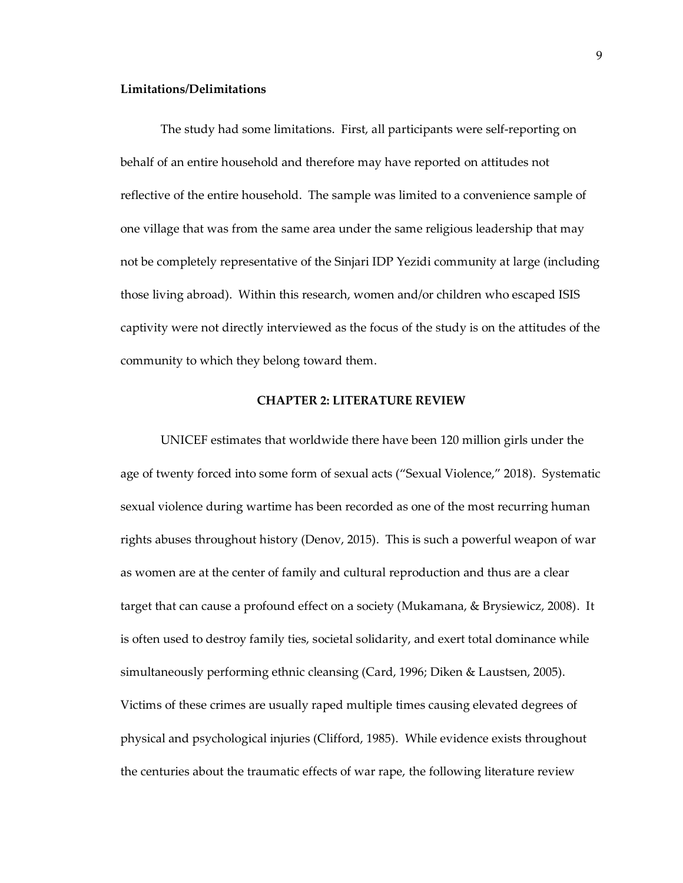#### <span id="page-15-0"></span>**Limitations/Delimitations**

The study had some limitations. First, all participants were self-reporting on behalf of an entire household and therefore may have reported on attitudes not reflective of the entire household. The sample was limited to a convenience sample of one village that was from the same area under the same religious leadership that may not be completely representative of the Sinjari IDP Yezidi community at large (including those living abroad). Within this research, women and/or children who escaped ISIS captivity were not directly interviewed as the focus of the study is on the attitudes of the community to which they belong toward them.

#### **CHAPTER 2: LITERATURE REVIEW**

<span id="page-15-1"></span>UNICEF estimates that worldwide there have been 120 million girls under the age of twenty forced into some form of sexual acts ("Sexual Violence," 2018). Systematic sexual violence during wartime has been recorded as one of the most recurring human rights abuses throughout history (Denov, 2015). This is such a powerful weapon of war as women are at the center of family and cultural reproduction and thus are a clear target that can cause a profound effect on a society (Mukamana, & Brysiewicz, 2008). It is often used to destroy family ties, societal solidarity, and exert total dominance while simultaneously performing ethnic cleansing (Card, 1996; Diken & Laustsen, 2005). Victims of these crimes are usually raped multiple times causing elevated degrees of physical and psychological injuries (Clifford, 1985). While evidence exists throughout the centuries about the traumatic effects of war rape, the following literature review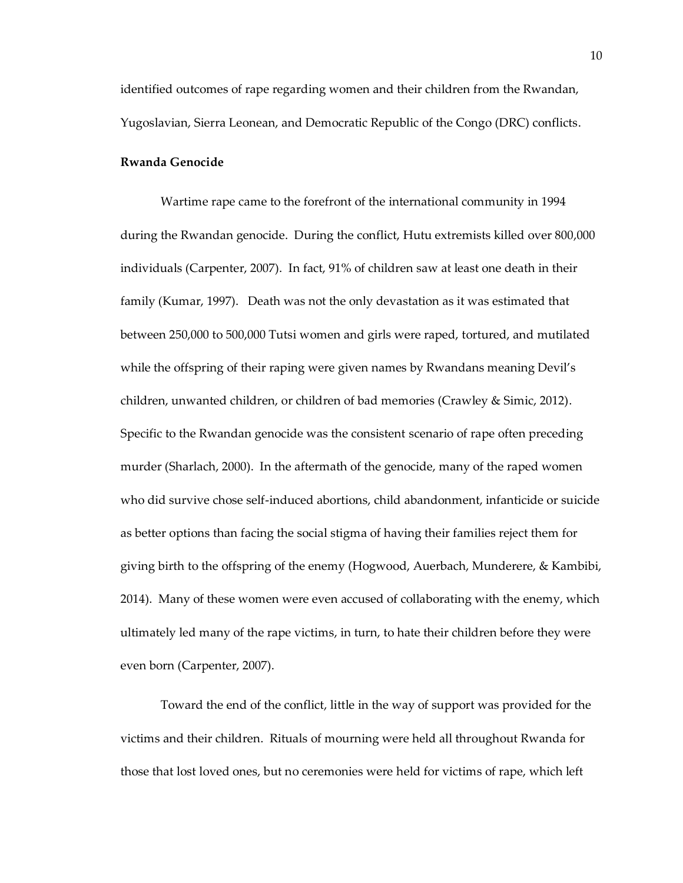identified outcomes of rape regarding women and their children from the Rwandan, Yugoslavian, Sierra Leonean, and Democratic Republic of the Congo (DRC) conflicts.

#### <span id="page-16-0"></span>**Rwanda Genocide**

Wartime rape came to the forefront of the international community in 1994 during the Rwandan genocide. During the conflict, Hutu extremists killed over 800,000 individuals (Carpenter, 2007). In fact, 91% of children saw at least one death in their family (Kumar, 1997). Death was not the only devastation as it was estimated that between 250,000 to 500,000 Tutsi women and girls were raped, tortured, and mutilated while the offspring of their raping were given names by Rwandans meaning Devil's children, unwanted children, or children of bad memories (Crawley & Simic, 2012). Specific to the Rwandan genocide was the consistent scenario of rape often preceding murder (Sharlach, 2000). In the aftermath of the genocide, many of the raped women who did survive chose self-induced abortions, child abandonment, infanticide or suicide as better options than facing the social stigma of having their families reject them for giving birth to the offspring of the enemy (Hogwood, Auerbach, Munderere, & Kambibi, 2014). Many of these women were even accused of collaborating with the enemy, which ultimately led many of the rape victims, in turn, to hate their children before they were even born (Carpenter, 2007).

Toward the end of the conflict, little in the way of support was provided for the victims and their children. Rituals of mourning were held all throughout Rwanda for those that lost loved ones, but no ceremonies were held for victims of rape, which left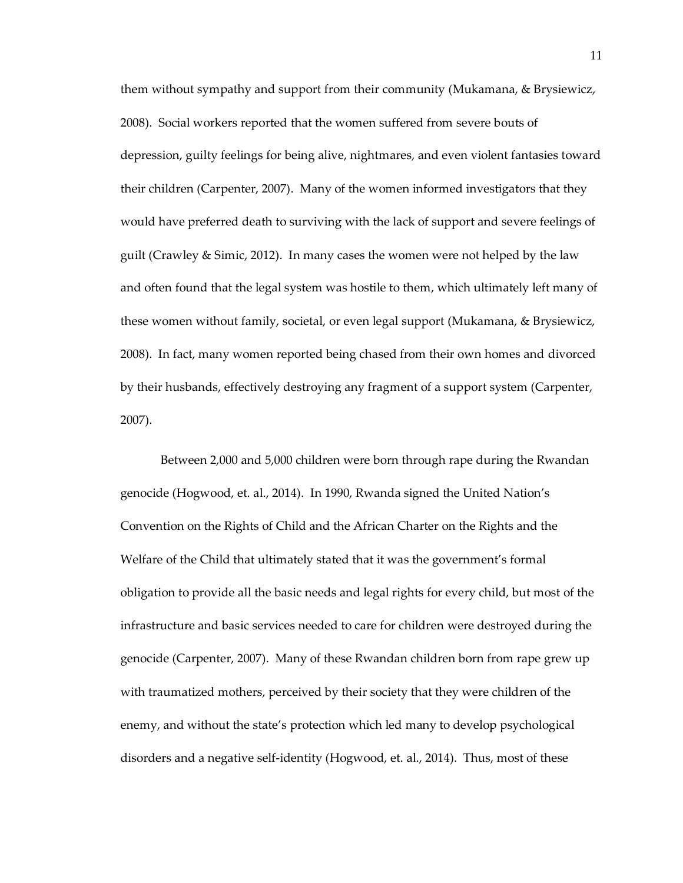them without sympathy and support from their community (Mukamana, & Brysiewicz, 2008). Social workers reported that the women suffered from severe bouts of depression, guilty feelings for being alive, nightmares, and even violent fantasies toward their children (Carpenter, 2007). Many of the women informed investigators that they would have preferred death to surviving with the lack of support and severe feelings of guilt (Crawley & Simic, 2012). In many cases the women were not helped by the law and often found that the legal system was hostile to them, which ultimately left many of these women without family, societal, or even legal support (Mukamana, & Brysiewicz, 2008). In fact, many women reported being chased from their own homes and divorced by their husbands, effectively destroying any fragment of a support system (Carpenter, 2007).

Between 2,000 and 5,000 children were born through rape during the Rwandan genocide (Hogwood, et. al., 2014). In 1990, Rwanda signed the United Nation's Convention on the Rights of Child and the African Charter on the Rights and the Welfare of the Child that ultimately stated that it was the government's formal obligation to provide all the basic needs and legal rights for every child, but most of the infrastructure and basic services needed to care for children were destroyed during the genocide (Carpenter, 2007). Many of these Rwandan children born from rape grew up with traumatized mothers, perceived by their society that they were children of the enemy, and without the state's protection which led many to develop psychological disorders and a negative self-identity (Hogwood, et. al., 2014). Thus, most of these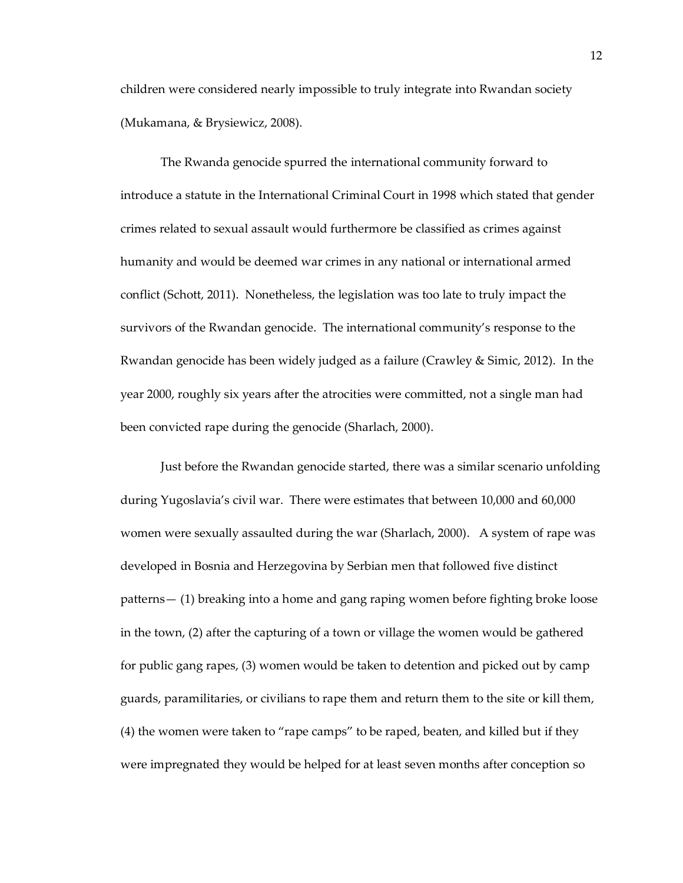children were considered nearly impossible to truly integrate into Rwandan society (Mukamana, & Brysiewicz, 2008).

The Rwanda genocide spurred the international community forward to introduce a statute in the International Criminal Court in 1998 which stated that gender crimes related to sexual assault would furthermore be classified as crimes against humanity and would be deemed war crimes in any national or international armed conflict (Schott, 2011). Nonetheless, the legislation was too late to truly impact the survivors of the Rwandan genocide. The international community's response to the Rwandan genocide has been widely judged as a failure (Crawley & Simic, 2012). In the year 2000, roughly six years after the atrocities were committed, not a single man had been convicted rape during the genocide (Sharlach, 2000).

Just before the Rwandan genocide started, there was a similar scenario unfolding during Yugoslavia's civil war. There were estimates that between 10,000 and 60,000 women were sexually assaulted during the war (Sharlach, 2000). A system of rape was developed in Bosnia and Herzegovina by Serbian men that followed five distinct patterns— (1) breaking into a home and gang raping women before fighting broke loose in the town, (2) after the capturing of a town or village the women would be gathered for public gang rapes, (3) women would be taken to detention and picked out by camp guards, paramilitaries, or civilians to rape them and return them to the site or kill them, (4) the women were taken to "rape camps" to be raped, beaten, and killed but if they were impregnated they would be helped for at least seven months after conception so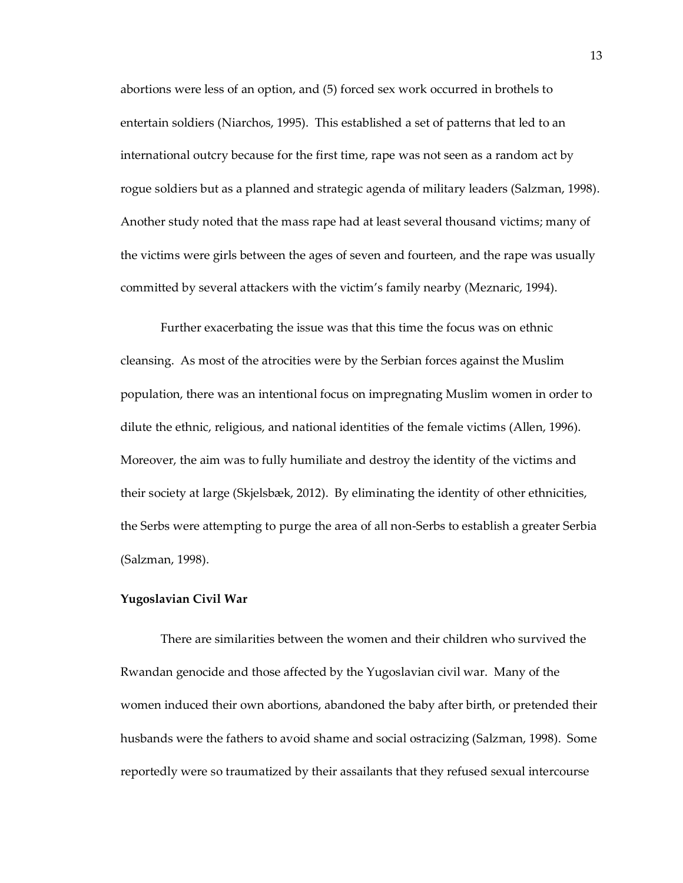abortions were less of an option, and (5) forced sex work occurred in brothels to entertain soldiers (Niarchos, 1995). This established a set of patterns that led to an international outcry because for the first time, rape was not seen as a random act by rogue soldiers but as a planned and strategic agenda of military leaders (Salzman, 1998). Another study noted that the mass rape had at least several thousand victims; many of the victims were girls between the ages of seven and fourteen, and the rape was usually committed by several attackers with the victim's family nearby (Meznaric, 1994).

Further exacerbating the issue was that this time the focus was on ethnic cleansing. As most of the atrocities were by the Serbian forces against the Muslim population, there was an intentional focus on impregnating Muslim women in order to dilute the ethnic, religious, and national identities of the female victims (Allen, 1996). Moreover, the aim was to fully humiliate and destroy the identity of the victims and their society at large (Skjelsbæk, 2012). By eliminating the identity of other ethnicities, the Serbs were attempting to purge the area of all non-Serbs to establish a greater Serbia (Salzman, 1998).

#### <span id="page-19-0"></span>**Yugoslavian Civil War**

There are similarities between the women and their children who survived the Rwandan genocide and those affected by the Yugoslavian civil war. Many of the women induced their own abortions, abandoned the baby after birth, or pretended their husbands were the fathers to avoid shame and social ostracizing (Salzman, 1998). Some reportedly were so traumatized by their assailants that they refused sexual intercourse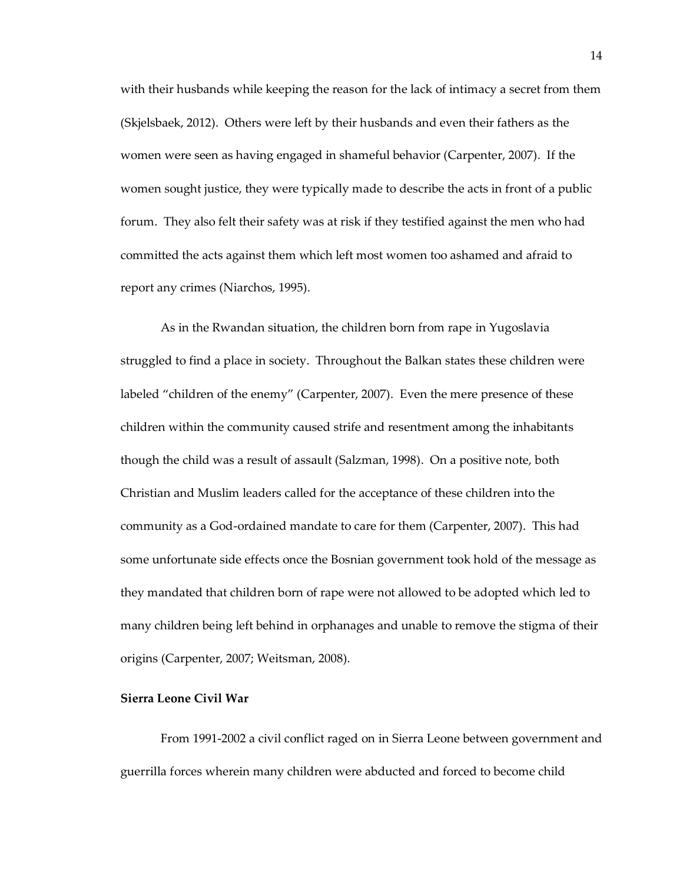with their husbands while keeping the reason for the lack of intimacy a secret from them (Skjelsbaek, 2012). Others were left by their husbands and even their fathers as the women were seen as having engaged in shameful behavior (Carpenter, 2007). If the women sought justice, they were typically made to describe the acts in front of a public forum. They also felt their safety was at risk if they testified against the men who had committed the acts against them which left most women too ashamed and afraid to report any crimes (Niarchos, 1995).

As in the Rwandan situation, the children born from rape in Yugoslavia struggled to find a place in society. Throughout the Balkan states these children were labeled "children of the enemy" (Carpenter, 2007). Even the mere presence of these children within the community caused strife and resentment among the inhabitants though the child was a result of assault (Salzman, 1998). On a positive note, both Christian and Muslim leaders called for the acceptance of these children into the community as a God-ordained mandate to care for them (Carpenter, 2007). This had some unfortunate side effects once the Bosnian government took hold of the message as they mandated that children born of rape were not allowed to be adopted which led to many children being left behind in orphanages and unable to remove the stigma of their origins (Carpenter, 2007; Weitsman, 2008).

# <span id="page-20-0"></span>**Sierra Leone Civil War**

From 1991-2002 a civil conflict raged on in Sierra Leone between government and guerrilla forces wherein many children were abducted and forced to become child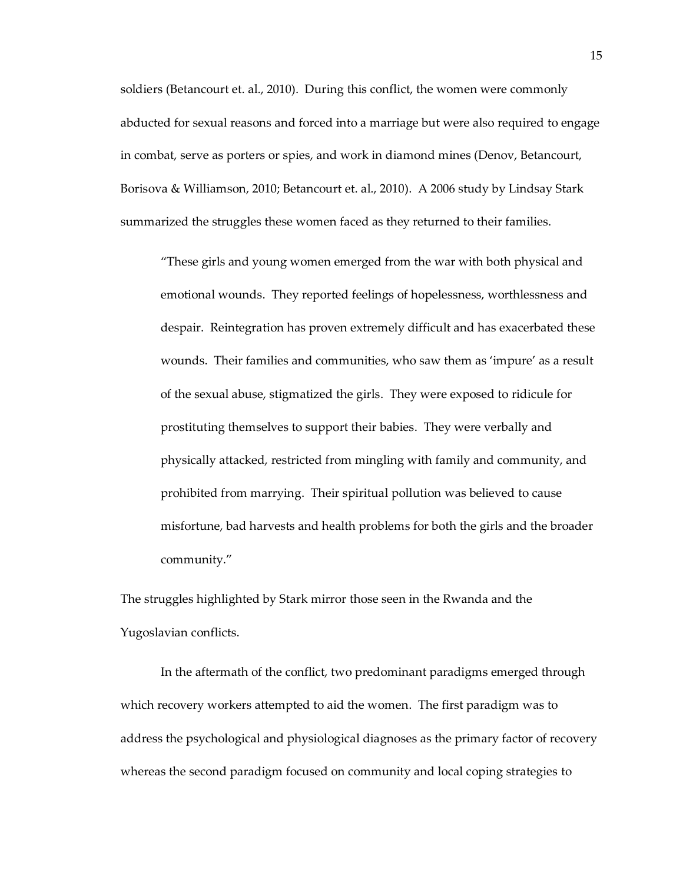soldiers (Betancourt et. al., 2010). During this conflict, the women were commonly abducted for sexual reasons and forced into a marriage but were also required to engage in combat, serve as porters or spies, and work in diamond mines (Denov, Betancourt, Borisova & Williamson, 2010; Betancourt et. al., 2010). A 2006 study by Lindsay Stark summarized the struggles these women faced as they returned to their families.

"These girls and young women emerged from the war with both physical and emotional wounds. They reported feelings of hopelessness, worthlessness and despair. Reintegration has proven extremely difficult and has exacerbated these wounds. Their families and communities, who saw them as 'impure' as a result of the sexual abuse, stigmatized the girls. They were exposed to ridicule for prostituting themselves to support their babies. They were verbally and physically attacked, restricted from mingling with family and community, and prohibited from marrying. Their spiritual pollution was believed to cause misfortune, bad harvests and health problems for both the girls and the broader community."

The struggles highlighted by Stark mirror those seen in the Rwanda and the Yugoslavian conflicts.

In the aftermath of the conflict, two predominant paradigms emerged through which recovery workers attempted to aid the women. The first paradigm was to address the psychological and physiological diagnoses as the primary factor of recovery whereas the second paradigm focused on community and local coping strategies to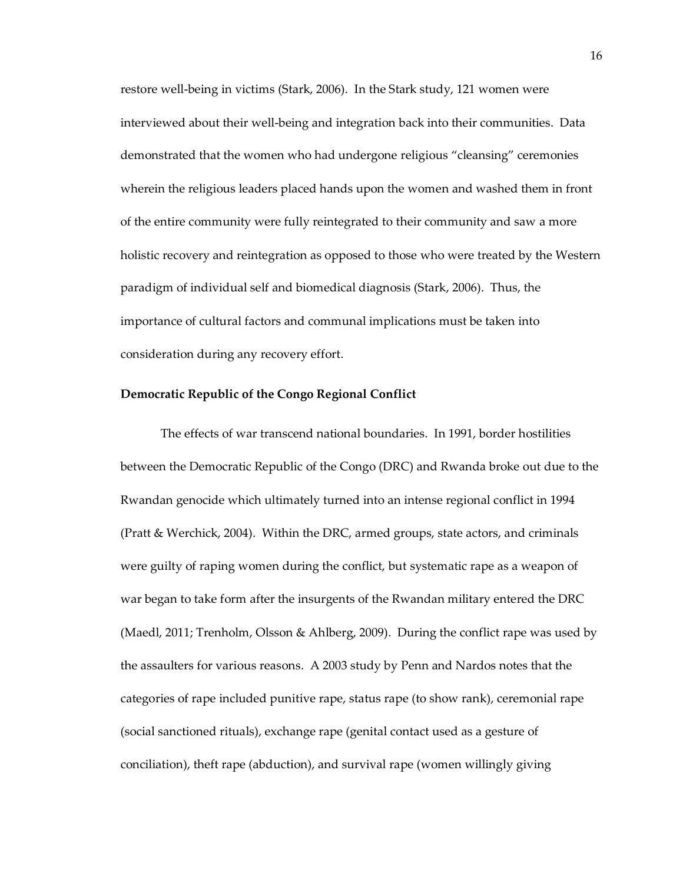restore well-being in victims (Stark, 2006). In the Stark study, 121 women were interviewed about their well-being and integration back into their communities. Data demonstrated that the women who had undergone religious "cleansing" ceremonies wherein the religious leaders placed hands upon the women and washed them in front of the entire community were fully reintegrated to their community and saw a more holistic recovery and reintegration as opposed to those who were treated by the Western paradigm of individual self and biomedical diagnosis (Stark, 2006). Thus, the importance of cultural factors and communal implications must be taken into consideration during any recovery effort.

#### <span id="page-22-0"></span>**Democratic Republic of the Congo Regional Conflict**

The effects of war transcend national boundaries. In 1991, border hostilities between the Democratic Republic of the Congo (DRC) and Rwanda broke out due to the Rwandan genocide which ultimately turned into an intense regional conflict in 1994 (Pratt & Werchick, 2004). Within the DRC, armed groups, state actors, and criminals were guilty of raping women during the conflict, but systematic rape as a weapon of war began to take form after the insurgents of the Rwandan military entered the DRC (Maedl, 2011; Trenholm, Olsson & Ahlberg, 2009). During the conflict rape was used by the assaulters for various reasons. A 2003 study by Penn and Nardos notes that the categories of rape included punitive rape, status rape (to show rank), ceremonial rape (social sanctioned rituals), exchange rape (genital contact used as a gesture of conciliation), theft rape (abduction), and survival rape (women willingly giving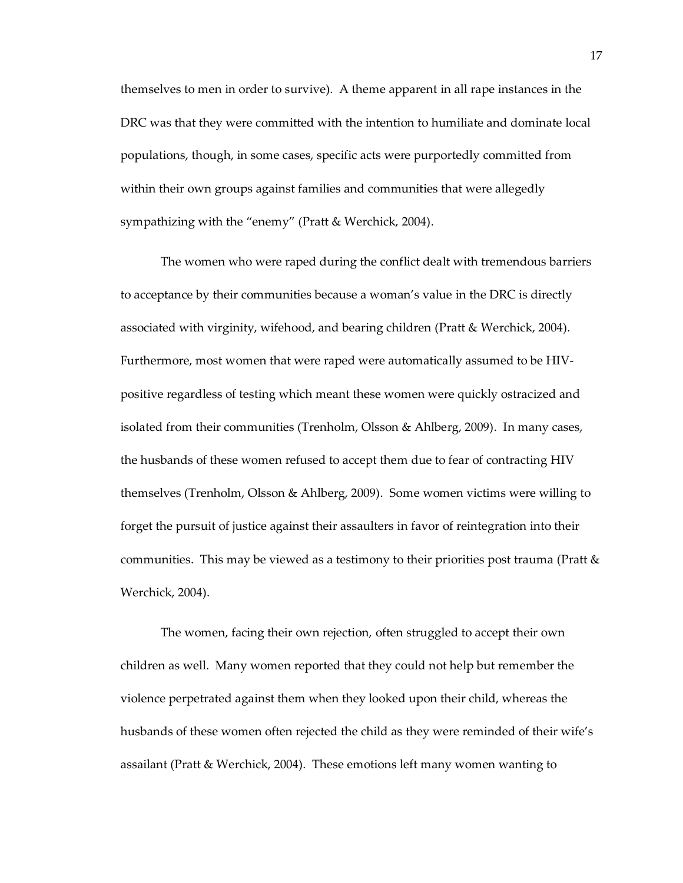themselves to men in order to survive). A theme apparent in all rape instances in the DRC was that they were committed with the intention to humiliate and dominate local populations, though, in some cases, specific acts were purportedly committed from within their own groups against families and communities that were allegedly sympathizing with the "enemy" (Pratt & Werchick, 2004).

The women who were raped during the conflict dealt with tremendous barriers to acceptance by their communities because a woman's value in the DRC is directly associated with virginity, wifehood, and bearing children (Pratt & Werchick, 2004). Furthermore, most women that were raped were automatically assumed to be HIVpositive regardless of testing which meant these women were quickly ostracized and isolated from their communities (Trenholm, Olsson & Ahlberg, 2009). In many cases, the husbands of these women refused to accept them due to fear of contracting HIV themselves (Trenholm, Olsson & Ahlberg, 2009). Some women victims were willing to forget the pursuit of justice against their assaulters in favor of reintegration into their communities. This may be viewed as a testimony to their priorities post trauma (Pratt  $\&$ Werchick, 2004).

The women, facing their own rejection, often struggled to accept their own children as well. Many women reported that they could not help but remember the violence perpetrated against them when they looked upon their child, whereas the husbands of these women often rejected the child as they were reminded of their wife's assailant (Pratt & Werchick, 2004). These emotions left many women wanting to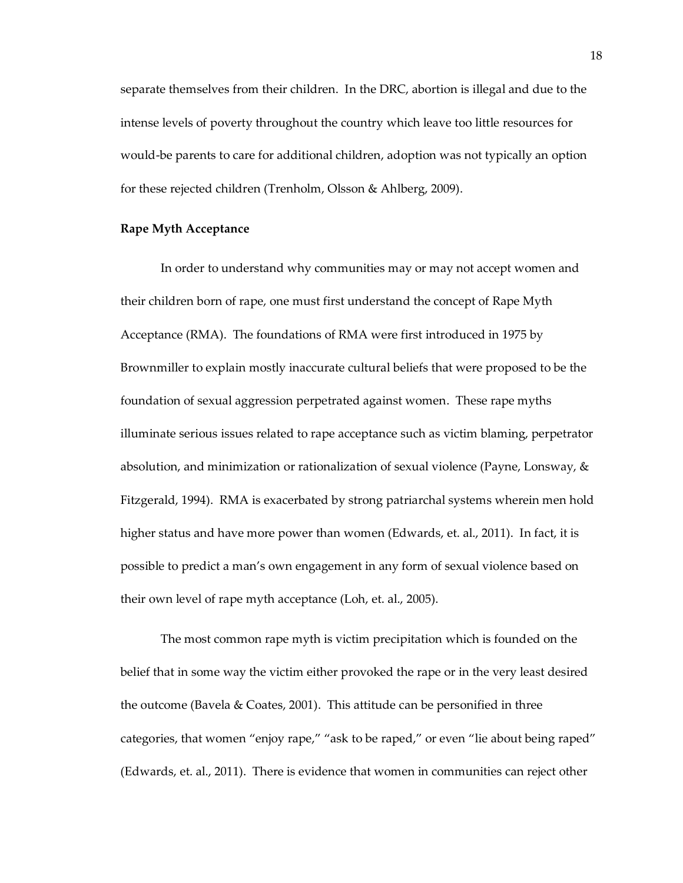separate themselves from their children. In the DRC, abortion is illegal and due to the intense levels of poverty throughout the country which leave too little resources for would-be parents to care for additional children, adoption was not typically an option for these rejected children (Trenholm, Olsson & Ahlberg, 2009).

# <span id="page-24-0"></span>**Rape Myth Acceptance**

In order to understand why communities may or may not accept women and their children born of rape, one must first understand the concept of Rape Myth Acceptance (RMA). The foundations of RMA were first introduced in 1975 by Brownmiller to explain mostly inaccurate cultural beliefs that were proposed to be the foundation of sexual aggression perpetrated against women. These rape myths illuminate serious issues related to rape acceptance such as victim blaming, perpetrator absolution, and minimization or rationalization of sexual violence (Payne, Lonsway, & Fitzgerald, 1994). RMA is exacerbated by strong patriarchal systems wherein men hold higher status and have more power than women (Edwards, et. al., 2011). In fact, it is possible to predict a man's own engagement in any form of sexual violence based on their own level of rape myth acceptance (Loh, et. al., 2005).

The most common rape myth is victim precipitation which is founded on the belief that in some way the victim either provoked the rape or in the very least desired the outcome (Bavela & Coates, 2001). This attitude can be personified in three categories, that women "enjoy rape," "ask to be raped," or even "lie about being raped" (Edwards, et. al., 2011). There is evidence that women in communities can reject other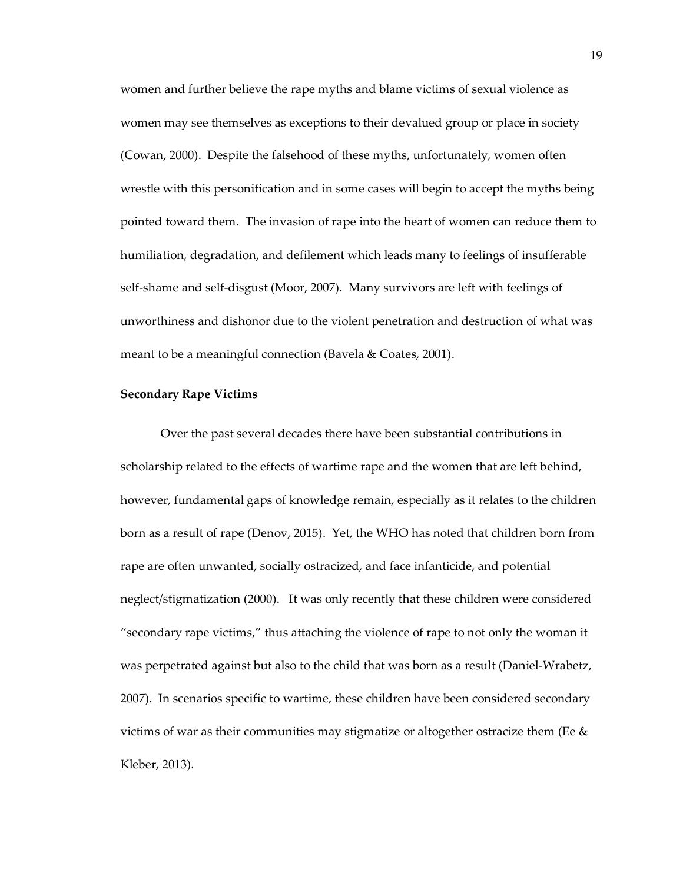women and further believe the rape myths and blame victims of sexual violence as women may see themselves as exceptions to their devalued group or place in society (Cowan, 2000). Despite the falsehood of these myths, unfortunately, women often wrestle with this personification and in some cases will begin to accept the myths being pointed toward them. The invasion of rape into the heart of women can reduce them to humiliation, degradation, and defilement which leads many to feelings of insufferable self-shame and self-disgust (Moor, 2007). Many survivors are left with feelings of unworthiness and dishonor due to the violent penetration and destruction of what was meant to be a meaningful connection (Bavela & Coates, 2001).

#### <span id="page-25-0"></span>**Secondary Rape Victims**

Over the past several decades there have been substantial contributions in scholarship related to the effects of wartime rape and the women that are left behind, however, fundamental gaps of knowledge remain, especially as it relates to the children born as a result of rape (Denov, 2015). Yet, the WHO has noted that children born from rape are often unwanted, socially ostracized, and face infanticide, and potential neglect/stigmatization (2000). It was only recently that these children were considered "secondary rape victims," thus attaching the violence of rape to not only the woman it was perpetrated against but also to the child that was born as a result (Daniel-Wrabetz, 2007). In scenarios specific to wartime, these children have been considered secondary victims of war as their communities may stigmatize or altogether ostracize them (Ee & Kleber, 2013).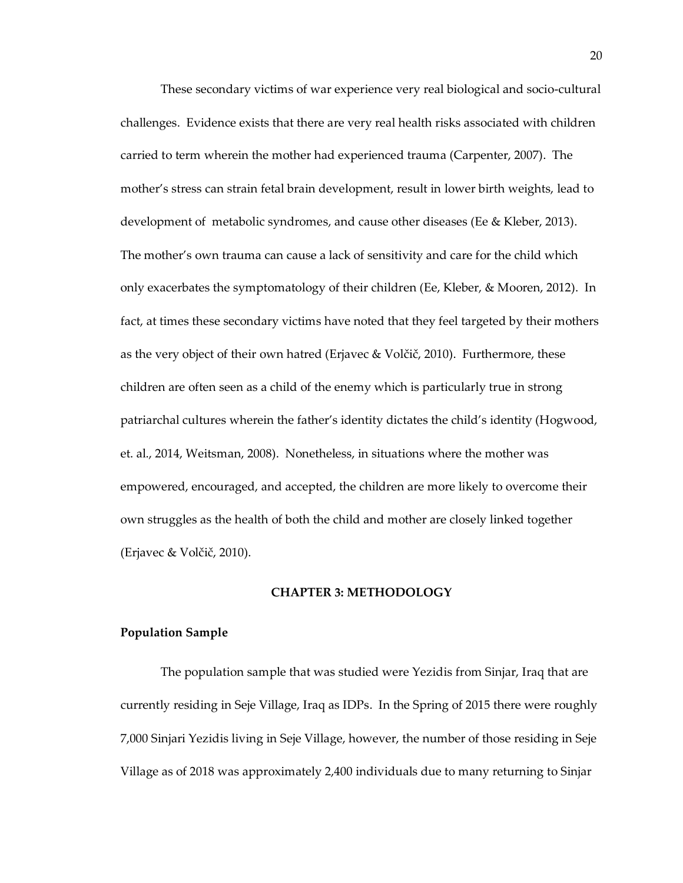These secondary victims of war experience very real biological and socio-cultural challenges. Evidence exists that there are very real health risks associated with children carried to term wherein the mother had experienced trauma (Carpenter, 2007). The mother's stress can strain fetal brain development, result in lower birth weights, lead to development of metabolic syndromes, and cause other diseases (Ee & Kleber, 2013). The mother's own trauma can cause a lack of sensitivity and care for the child which only exacerbates the symptomatology of their children (Ee, Kleber, & Mooren, 2012). In fact, at times these secondary victims have noted that they feel targeted by their mothers as the very object of their own hatred (Erjavec & Volčič, 2010). Furthermore, these children are often seen as a child of the enemy which is particularly true in strong patriarchal cultures wherein the father's identity dictates the child's identity (Hogwood, et. al., 2014, Weitsman, 2008). Nonetheless, in situations where the mother was empowered, encouraged, and accepted, the children are more likely to overcome their own struggles as the health of both the child and mother are closely linked together (Erjavec & Volčič, 2010).

#### **CHAPTER 3: METHODOLOGY**

## <span id="page-26-1"></span><span id="page-26-0"></span>**Population Sample**

The population sample that was studied were Yezidis from Sinjar, Iraq that are currently residing in Seje Village, Iraq as IDPs. In the Spring of 2015 there were roughly 7,000 Sinjari Yezidis living in Seje Village, however, the number of those residing in Seje Village as of 2018 was approximately 2,400 individuals due to many returning to Sinjar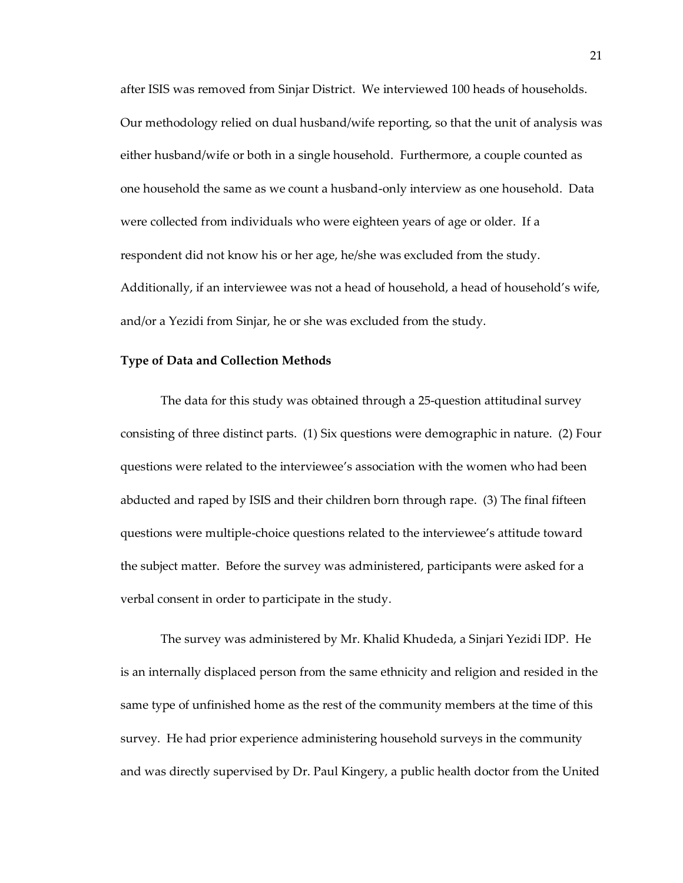after ISIS was removed from Sinjar District. We interviewed 100 heads of households. Our methodology relied on dual husband/wife reporting, so that the unit of analysis was either husband/wife or both in a single household. Furthermore, a couple counted as one household the same as we count a husband-only interview as one household. Data were collected from individuals who were eighteen years of age or older. If a respondent did not know his or her age, he/she was excluded from the study. Additionally, if an interviewee was not a head of household, a head of household's wife, and/or a Yezidi from Sinjar, he or she was excluded from the study.

#### <span id="page-27-0"></span>**Type of Data and Collection Methods**

The data for this study was obtained through a 25-question attitudinal survey consisting of three distinct parts. (1) Six questions were demographic in nature. (2) Four questions were related to the interviewee's association with the women who had been abducted and raped by ISIS and their children born through rape. (3) The final fifteen questions were multiple-choice questions related to the interviewee's attitude toward the subject matter. Before the survey was administered, participants were asked for a verbal consent in order to participate in the study.

The survey was administered by Mr. Khalid Khudeda, a Sinjari Yezidi IDP. He is an internally displaced person from the same ethnicity and religion and resided in the same type of unfinished home as the rest of the community members at the time of this survey. He had prior experience administering household surveys in the community and was directly supervised by Dr. Paul Kingery, a public health doctor from the United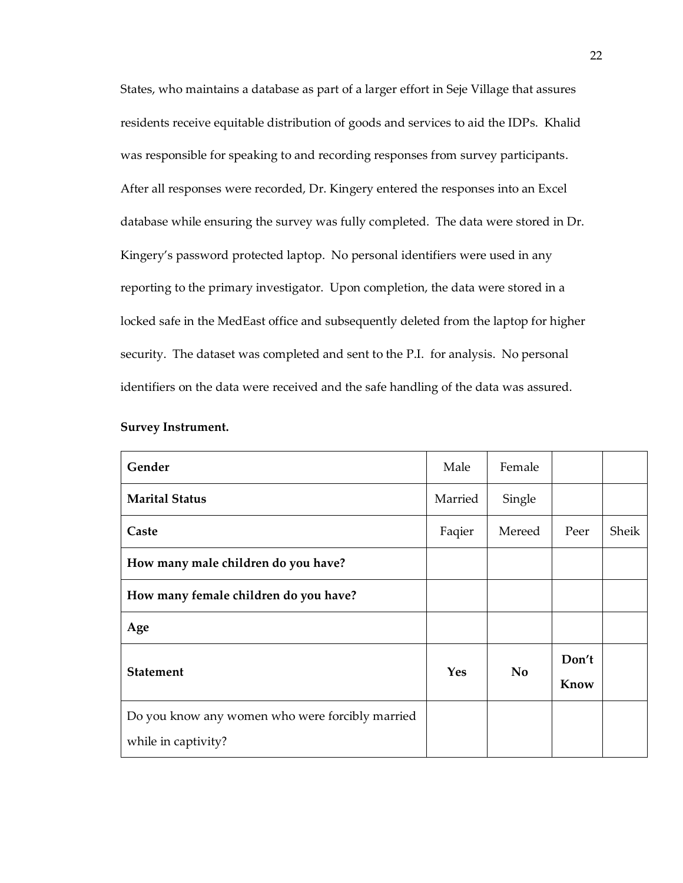States, who maintains a database as part of a larger effort in Seje Village that assures residents receive equitable distribution of goods and services to aid the IDPs. Khalid was responsible for speaking to and recording responses from survey participants. After all responses were recorded, Dr. Kingery entered the responses into an Excel database while ensuring the survey was fully completed. The data were stored in Dr. Kingery's password protected laptop. No personal identifiers were used in any reporting to the primary investigator. Upon completion, the data were stored in a locked safe in the MedEast office and subsequently deleted from the laptop for higher security. The dataset was completed and sent to the P.I. for analysis. No personal identifiers on the data were received and the safe handling of the data was assured.

| Gender                                          | Male       | Female         |       |       |
|-------------------------------------------------|------------|----------------|-------|-------|
| <b>Marital Status</b>                           | Married    | Single         |       |       |
| Caste                                           | Faqier     | Mereed         | Peer  | Sheik |
| How many male children do you have?             |            |                |       |       |
| How many female children do you have?           |            |                |       |       |
| Age                                             |            |                |       |       |
| <b>Statement</b>                                | <b>Yes</b> | N <sub>o</sub> | Don't |       |
|                                                 |            |                | Know  |       |
| Do you know any women who were forcibly married |            |                |       |       |
| while in captivity?                             |            |                |       |       |

# **Survey Instrument.**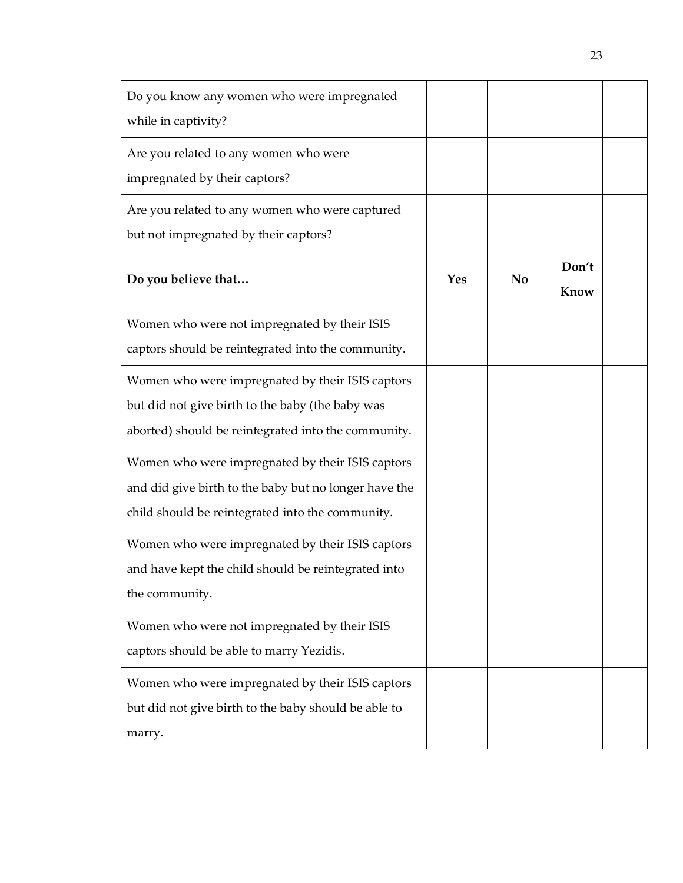| Do you know any women who were impregnated<br>while in captivity?                                                                                             |     |                |               |  |
|---------------------------------------------------------------------------------------------------------------------------------------------------------------|-----|----------------|---------------|--|
| Are you related to any women who were<br>impregnated by their captors?                                                                                        |     |                |               |  |
| Are you related to any women who were captured<br>but not impregnated by their captors?                                                                       |     |                |               |  |
| Do you believe that                                                                                                                                           | Yes | N <sub>0</sub> | Don't<br>Know |  |
| Women who were not impregnated by their ISIS<br>captors should be reintegrated into the community.                                                            |     |                |               |  |
| Women who were impregnated by their ISIS captors<br>but did not give birth to the baby (the baby was<br>aborted) should be reintegrated into the community.   |     |                |               |  |
| Women who were impregnated by their ISIS captors<br>and did give birth to the baby but no longer have the<br>child should be reintegrated into the community. |     |                |               |  |
| Women who were impregnated by their ISIS captors<br>and have kept the child should be reintegrated into<br>the community.                                     |     |                |               |  |
| Women who were not impregnated by their ISIS<br>captors should be able to marry Yezidis.                                                                      |     |                |               |  |
| Women who were impregnated by their ISIS captors<br>but did not give birth to the baby should be able to<br>marry.                                            |     |                |               |  |

23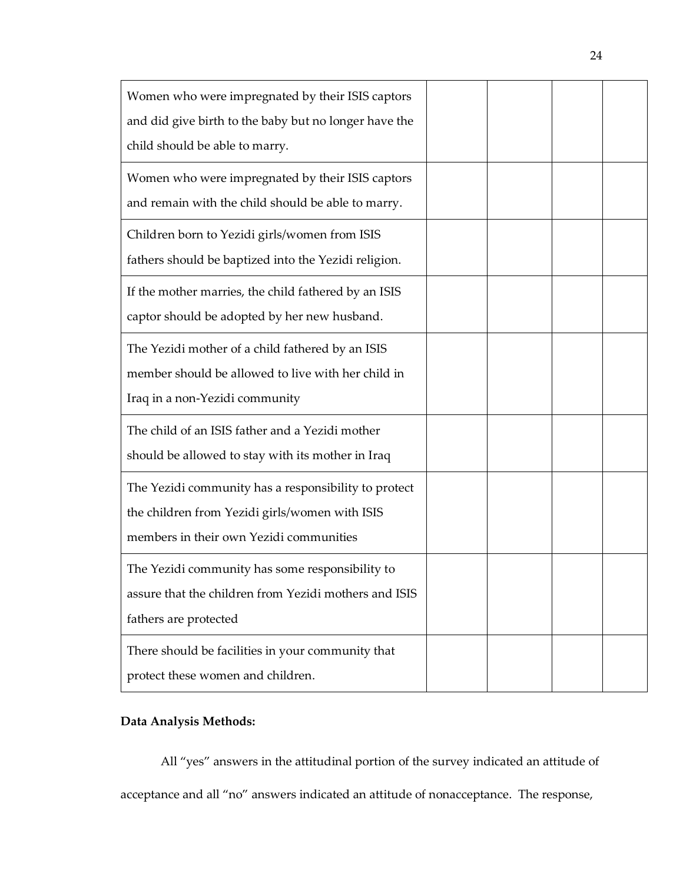| Women who were impregnated by their ISIS captors      |  |  |
|-------------------------------------------------------|--|--|
| and did give birth to the baby but no longer have the |  |  |
| child should be able to marry.                        |  |  |
| Women who were impregnated by their ISIS captors      |  |  |
| and remain with the child should be able to marry.    |  |  |
| Children born to Yezidi girls/women from ISIS         |  |  |
| fathers should be baptized into the Yezidi religion.  |  |  |
| If the mother marries, the child fathered by an ISIS  |  |  |
| captor should be adopted by her new husband.          |  |  |
| The Yezidi mother of a child fathered by an ISIS      |  |  |
| member should be allowed to live with her child in    |  |  |
| Iraq in a non-Yezidi community                        |  |  |
| The child of an ISIS father and a Yezidi mother       |  |  |
| should be allowed to stay with its mother in Iraq     |  |  |
| The Yezidi community has a responsibility to protect  |  |  |
| the children from Yezidi girls/women with ISIS        |  |  |
| members in their own Yezidi communities               |  |  |
| The Yezidi community has some responsibility to       |  |  |
| assure that the children from Yezidi mothers and ISIS |  |  |
| fathers are protected                                 |  |  |
| There should be facilities in your community that     |  |  |
| protect these women and children.                     |  |  |

# <span id="page-30-0"></span>**Data Analysis Methods:**

All "yes" answers in the attitudinal portion of the survey indicated an attitude of acceptance and all "no" answers indicated an attitude of nonacceptance. The response,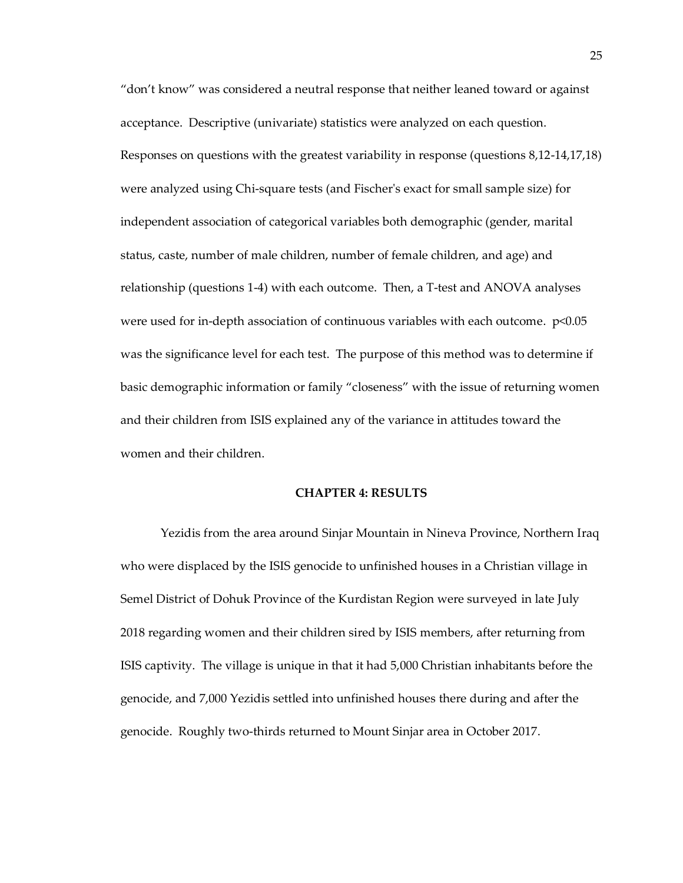"don't know" was considered a neutral response that neither leaned toward or against acceptance. Descriptive (univariate) statistics were analyzed on each question. Responses on questions with the greatest variability in response (questions 8,12-14,17,18) were analyzed using Chi-square tests (and Fischer's exact for small sample size) for independent association of categorical variables both demographic (gender, marital status, caste, number of male children, number of female children, and age) and relationship (questions 1-4) with each outcome. Then, a T-test and ANOVA analyses were used for in-depth association of continuous variables with each outcome. p<0.05 was the significance level for each test. The purpose of this method was to determine if basic demographic information or family "closeness" with the issue of returning women and their children from ISIS explained any of the variance in attitudes toward the women and their children.

## **CHAPTER 4: RESULTS**

<span id="page-31-0"></span>Yezidis from the area around Sinjar Mountain in Nineva Province, Northern Iraq who were displaced by the ISIS genocide to unfinished houses in a Christian village in Semel District of Dohuk Province of the Kurdistan Region were surveyed in late July 2018 regarding women and their children sired by ISIS members, after returning from ISIS captivity. The village is unique in that it had 5,000 Christian inhabitants before the genocide, and 7,000 Yezidis settled into unfinished houses there during and after the genocide. Roughly two-thirds returned to Mount Sinjar area in October 2017.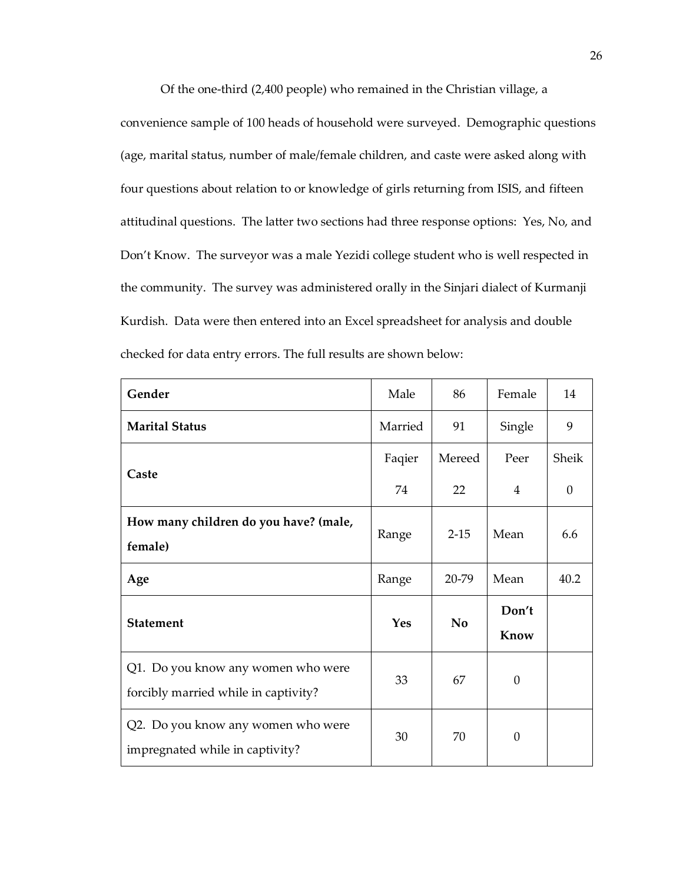Of the one-third (2,400 people) who remained in the Christian village, a convenience sample of 100 heads of household were surveyed. Demographic questions (age, marital status, number of male/female children, and caste were asked along with four questions about relation to or knowledge of girls returning from ISIS, and fifteen attitudinal questions. The latter two sections had three response options: Yes, No, and Don't Know. The surveyor was a male Yezidi college student who is well respected in the community. The survey was administered orally in the Sinjari dialect of Kurmanji Kurdish. Data were then entered into an Excel spreadsheet for analysis and double checked for data entry errors. The full results are shown below:

| Gender                                                                     | Male    | 86       | Female         | 14       |
|----------------------------------------------------------------------------|---------|----------|----------------|----------|
| <b>Marital Status</b>                                                      | Married | 91       | Single         | 9        |
| Caste                                                                      | Faqier  | Mereed   | Peer           | Sheik    |
|                                                                            | 74      | 22       | $\overline{4}$ | $\Omega$ |
| How many children do you have? (male,<br>female)                           | Range   | $2 - 15$ | Mean           | 6.6      |
| Age                                                                        | Range   | 20-79    | Mean           | 40.2     |
| <b>Statement</b>                                                           | Yes     | No       | Don't<br>Know  |          |
| Q1. Do you know any women who were<br>forcibly married while in captivity? | 33      | 67       | $\theta$       |          |
| Q2. Do you know any women who were<br>impregnated while in captivity?      | 30      | 70       | $\Omega$       |          |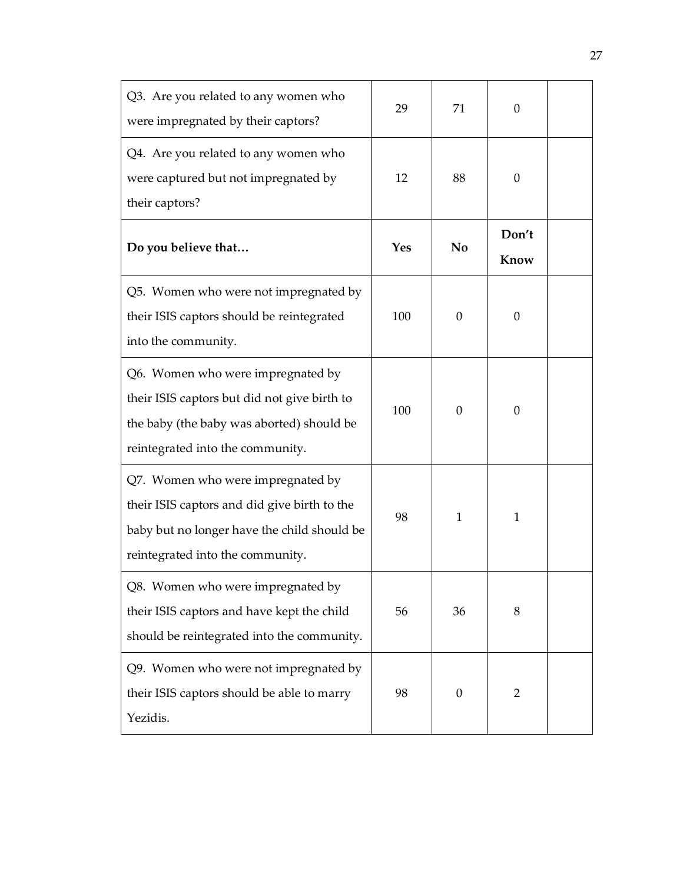| Q3. Are you related to any women who<br>were impregnated by their captors?                                                                                           | 29  | 71       | $\theta$       |  |
|----------------------------------------------------------------------------------------------------------------------------------------------------------------------|-----|----------|----------------|--|
| Q4. Are you related to any women who<br>were captured but not impregnated by<br>their captors?                                                                       | 12  | 88       | $\theta$       |  |
| Do you believe that                                                                                                                                                  | Yes | No       | Don't<br>Know  |  |
| Q5. Women who were not impregnated by<br>their ISIS captors should be reintegrated<br>into the community.                                                            | 100 | $\Omega$ | $\theta$       |  |
| Q6. Women who were impregnated by<br>their ISIS captors but did not give birth to<br>the baby (the baby was aborted) should be<br>reintegrated into the community.   | 100 | $\Omega$ | $\theta$       |  |
| Q7. Women who were impregnated by<br>their ISIS captors and did give birth to the<br>baby but no longer have the child should be<br>reintegrated into the community. | 98  | 1        | 1              |  |
| Q8. Women who were impregnated by<br>their ISIS captors and have kept the child<br>should be reintegrated into the community.                                        | 56  | 36       | 8              |  |
| Q9. Women who were not impregnated by<br>their ISIS captors should be able to marry<br>Yezidis.                                                                      | 98  | $\theta$ | $\overline{2}$ |  |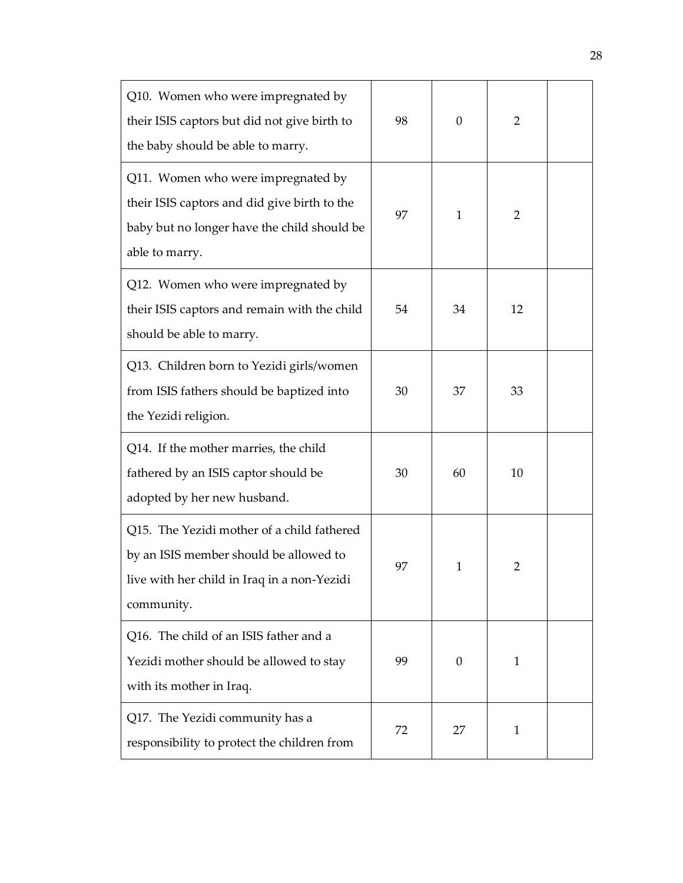| Q10. Women who were impregnated by<br>their ISIS captors but did not give birth to<br>the baby should be able to marry.                             | 98 | $\theta$     | 2              |  |
|-----------------------------------------------------------------------------------------------------------------------------------------------------|----|--------------|----------------|--|
| Q11. Women who were impregnated by<br>their ISIS captors and did give birth to the<br>baby but no longer have the child should be<br>able to marry. | 97 | 1            | $\overline{2}$ |  |
| Q12. Women who were impregnated by<br>their ISIS captors and remain with the child<br>should be able to marry.                                      | 54 | 34           | 12             |  |
| Q13. Children born to Yezidi girls/women<br>from ISIS fathers should be baptized into<br>the Yezidi religion.                                       | 30 | 37           | 33             |  |
| Q14. If the mother marries, the child<br>fathered by an ISIS captor should be<br>adopted by her new husband.                                        | 30 | 60           | 10             |  |
| Q15. The Yezidi mother of a child fathered<br>by an ISIS member should be allowed to<br>live with her child in Iraq in a non-Yezidi<br>community.   | 97 | $\mathbf{1}$ | 2              |  |
| Q16. The child of an ISIS father and a<br>Yezidi mother should be allowed to stay<br>with its mother in Iraq.                                       | 99 | $\theta$     | 1              |  |
| Q17. The Yezidi community has a<br>responsibility to protect the children from                                                                      | 72 | 27           | 1              |  |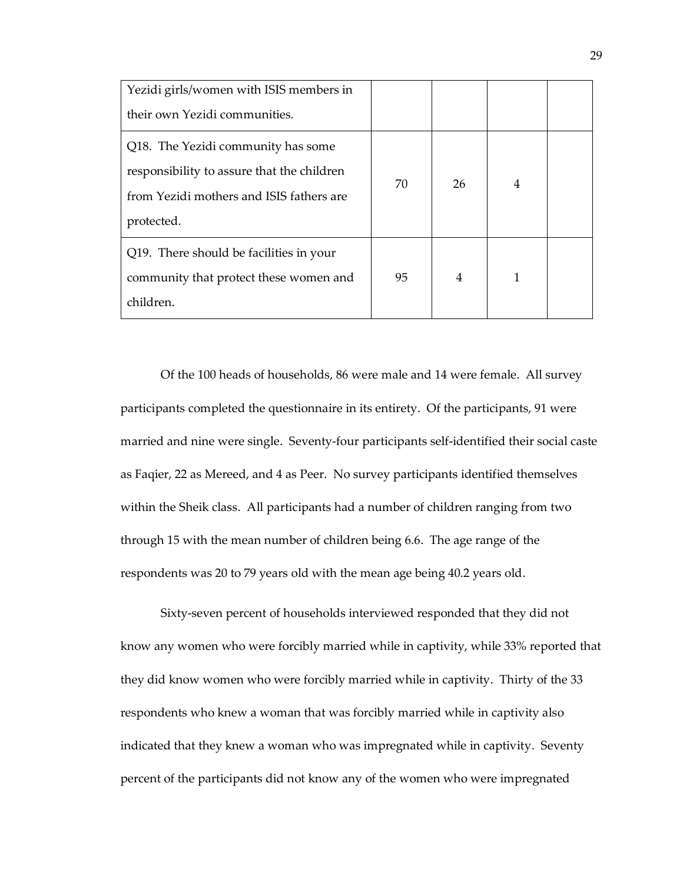| Yezidi girls/women with ISIS members in<br>their own Yezidi communities.                                                                   |    |    |   |  |
|--------------------------------------------------------------------------------------------------------------------------------------------|----|----|---|--|
| Q18. The Yezidi community has some<br>responsibility to assure that the children<br>from Yezidi mothers and ISIS fathers are<br>protected. | 70 | 26 | 4 |  |
| Q19. There should be facilities in your<br>community that protect these women and<br>children.                                             | 95 | 4  | 1 |  |

Of the 100 heads of households, 86 were male and 14 were female. All survey participants completed the questionnaire in its entirety. Of the participants, 91 were married and nine were single. Seventy-four participants self-identified their social caste as Faqier, 22 as Mereed, and 4 as Peer. No survey participants identified themselves within the Sheik class. All participants had a number of children ranging from two through 15 with the mean number of children being 6.6. The age range of the respondents was 20 to 79 years old with the mean age being 40.2 years old.

Sixty-seven percent of households interviewed responded that they did not know any women who were forcibly married while in captivity, while 33% reported that they did know women who were forcibly married while in captivity. Thirty of the 33 respondents who knew a woman that was forcibly married while in captivity also indicated that they knew a woman who was impregnated while in captivity. Seventy percent of the participants did not know any of the women who were impregnated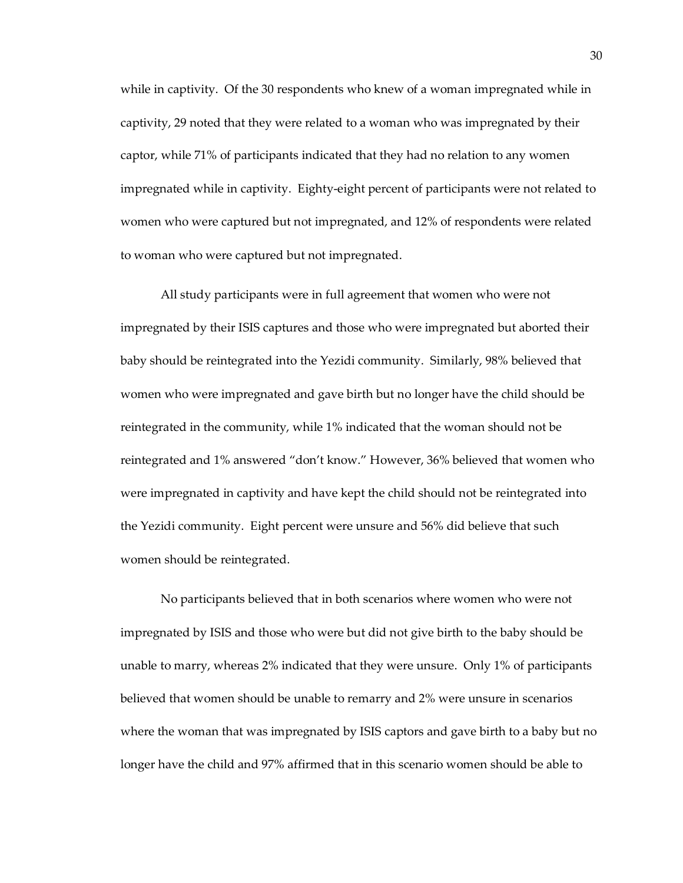while in captivity. Of the 30 respondents who knew of a woman impregnated while in captivity, 29 noted that they were related to a woman who was impregnated by their captor, while 71% of participants indicated that they had no relation to any women impregnated while in captivity. Eighty-eight percent of participants were not related to women who were captured but not impregnated, and 12% of respondents were related to woman who were captured but not impregnated.

All study participants were in full agreement that women who were not impregnated by their ISIS captures and those who were impregnated but aborted their baby should be reintegrated into the Yezidi community. Similarly, 98% believed that women who were impregnated and gave birth but no longer have the child should be reintegrated in the community, while 1% indicated that the woman should not be reintegrated and 1% answered "don't know." However, 36% believed that women who were impregnated in captivity and have kept the child should not be reintegrated into the Yezidi community. Eight percent were unsure and 56% did believe that such women should be reintegrated.

No participants believed that in both scenarios where women who were not impregnated by ISIS and those who were but did not give birth to the baby should be unable to marry, whereas 2% indicated that they were unsure. Only 1% of participants believed that women should be unable to remarry and 2% were unsure in scenarios where the woman that was impregnated by ISIS captors and gave birth to a baby but no longer have the child and 97% affirmed that in this scenario women should be able to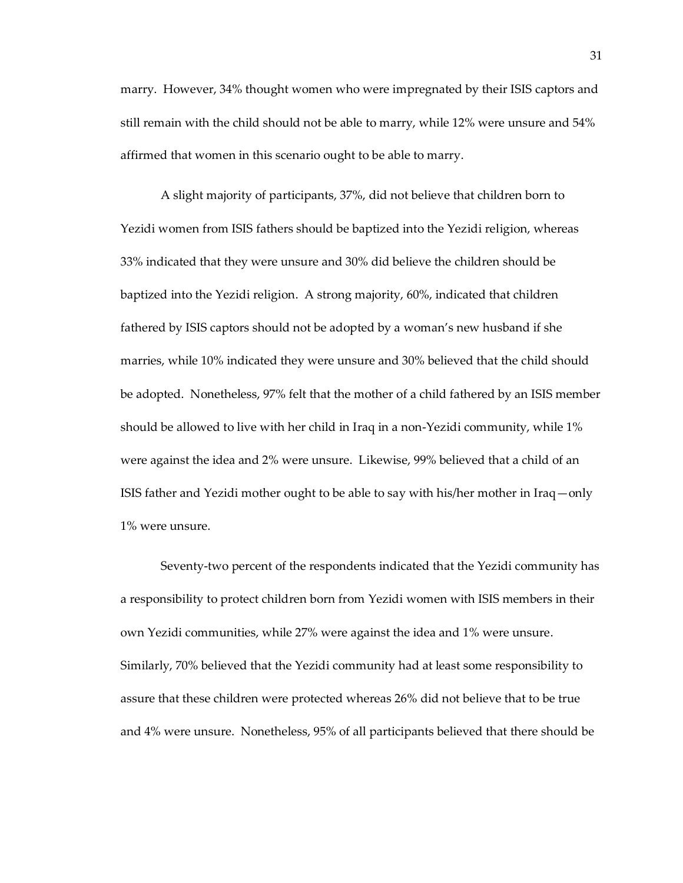marry. However, 34% thought women who were impregnated by their ISIS captors and still remain with the child should not be able to marry, while 12% were unsure and 54% affirmed that women in this scenario ought to be able to marry.

A slight majority of participants, 37%, did not believe that children born to Yezidi women from ISIS fathers should be baptized into the Yezidi religion, whereas 33% indicated that they were unsure and 30% did believe the children should be baptized into the Yezidi religion. A strong majority, 60%, indicated that children fathered by ISIS captors should not be adopted by a woman's new husband if she marries, while 10% indicated they were unsure and 30% believed that the child should be adopted. Nonetheless, 97% felt that the mother of a child fathered by an ISIS member should be allowed to live with her child in Iraq in a non-Yezidi community, while 1% were against the idea and 2% were unsure. Likewise, 99% believed that a child of an ISIS father and Yezidi mother ought to be able to say with his/her mother in Iraq—only 1% were unsure.

Seventy-two percent of the respondents indicated that the Yezidi community has a responsibility to protect children born from Yezidi women with ISIS members in their own Yezidi communities, while 27% were against the idea and 1% were unsure. Similarly, 70% believed that the Yezidi community had at least some responsibility to assure that these children were protected whereas 26% did not believe that to be true and 4% were unsure. Nonetheless, 95% of all participants believed that there should be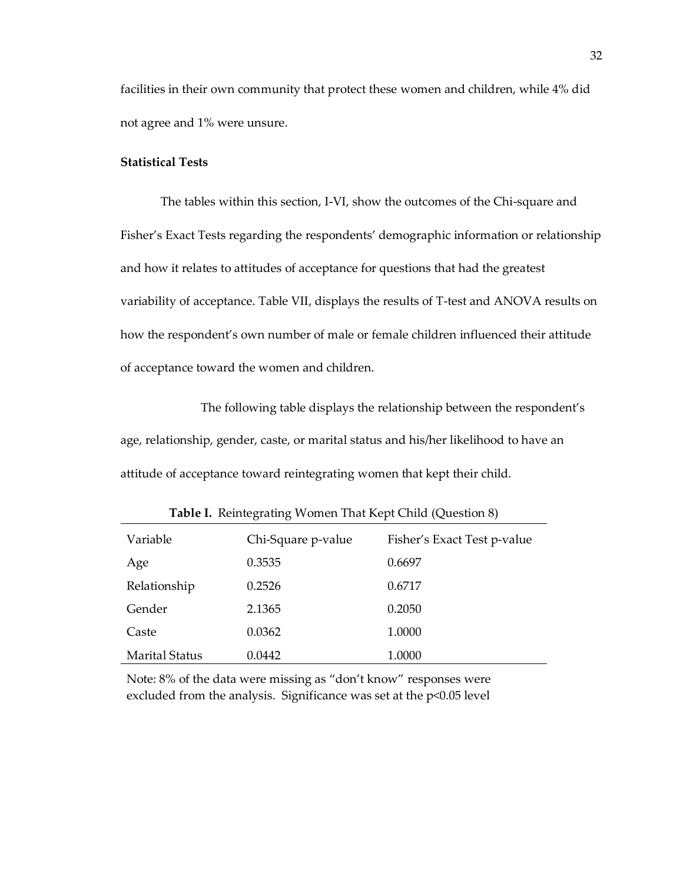facilities in their own community that protect these women and children, while 4% did not agree and 1% were unsure.

# **Statistical Tests**

The tables within this section, I-VI, show the outcomes of the Chi-square and Fisher's Exact Tests regarding the respondents' demographic information or relationship and how it relates to attitudes of acceptance for questions that had the greatest variability of acceptance. Table VII, displays the results of T-test and ANOVA results on how the respondent's own number of male or female children influenced their attitude of acceptance toward the women and children.

The following table displays the relationship between the respondent's age, relationship, gender, caste, or marital status and his/her likelihood to have an attitude of acceptance toward reintegrating women that kept their child.

| Variable              | Chi-Square p-value | Fisher's Exact Test p-value |
|-----------------------|--------------------|-----------------------------|
| Age                   | 0.3535             | 0.6697                      |
| Relationship          | 0.2526             | 0.6717                      |
| Gender                | 2.1365             | 0.2050                      |
| Caste                 | 0.0362             | 1.0000                      |
| <b>Marital Status</b> | 0.0442             | 1.0000                      |

**Table I.** Reintegrating Women That Kept Child (Question 8)

Note: 8% of the data were missing as "don't know" responses were excluded from the analysis. Significance was set at the p<0.05 level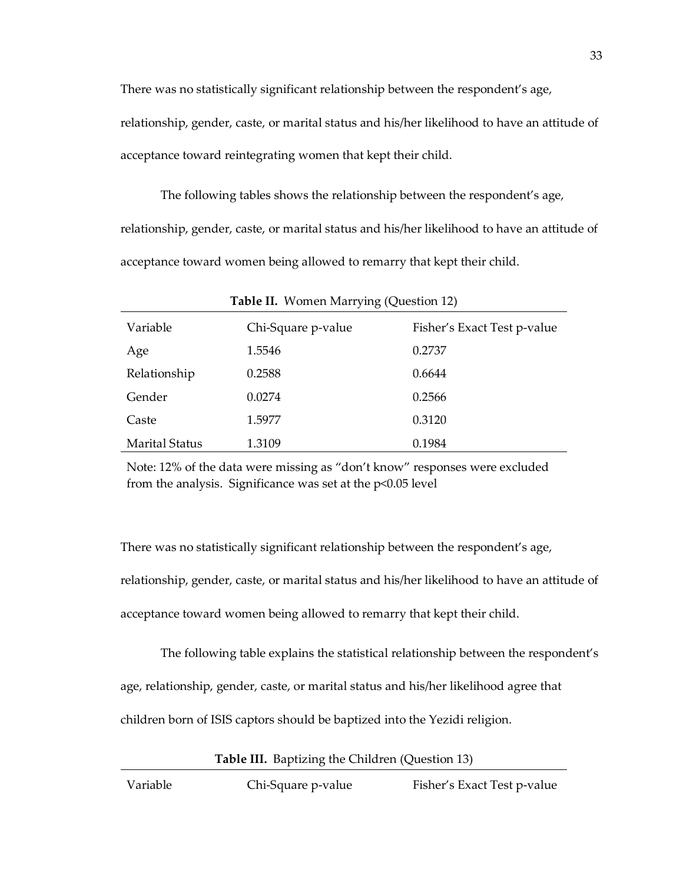There was no statistically significant relationship between the respondent's age, relationship, gender, caste, or marital status and his/her likelihood to have an attitude of acceptance toward reintegrating women that kept their child.

The following tables shows the relationship between the respondent's age, relationship, gender, caste, or marital status and his/her likelihood to have an attitude of acceptance toward women being allowed to remarry that kept their child.

| Table II. Women Marrying (Question 12) |                    |                             |  |
|----------------------------------------|--------------------|-----------------------------|--|
| Variable                               | Chi-Square p-value | Fisher's Exact Test p-value |  |
| Age                                    | 1.5546             | 0.2737                      |  |
| Relationship                           | 0.2588             | 0.6644                      |  |
| Gender                                 | 0.0274             | 0.2566                      |  |
| Caste                                  | 1.5977             | 0.3120                      |  |
| <b>Marital Status</b>                  | 1.3109             | 0.1984                      |  |

Note: 12% of the data were missing as "don't know" responses were excluded from the analysis. Significance was set at the p<0.05 level

There was no statistically significant relationship between the respondent's age, relationship, gender, caste, or marital status and his/her likelihood to have an attitude of acceptance toward women being allowed to remarry that kept their child.

The following table explains the statistical relationship between the respondent's age, relationship, gender, caste, or marital status and his/her likelihood agree that children born of ISIS captors should be baptized into the Yezidi religion.

**Table III.** Baptizing the Children (Question 13)

Variable Chi-Square p-value Fisher's Exact Test p-value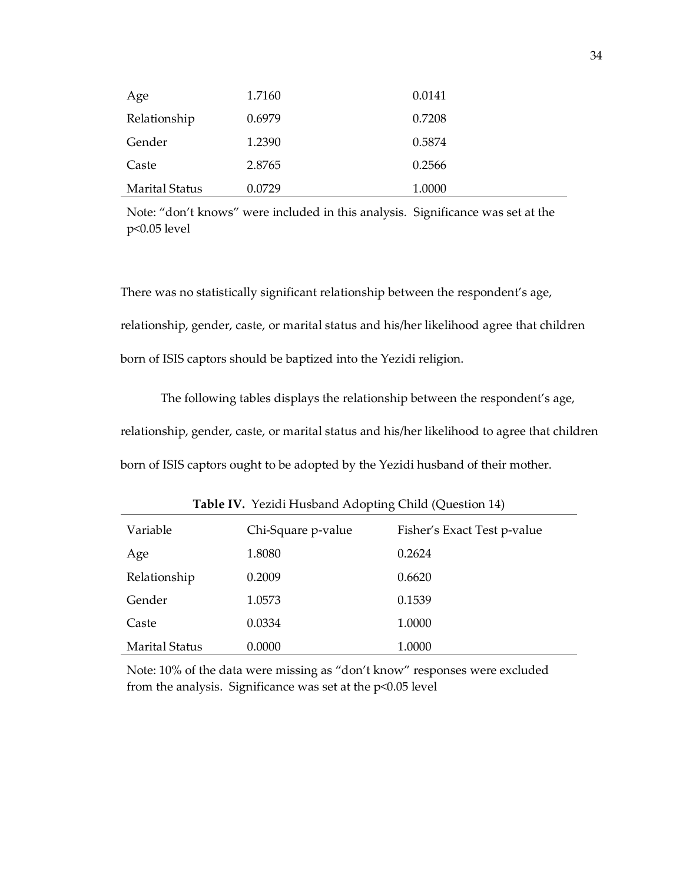| Age                   | 1.7160 | 0.0141 |
|-----------------------|--------|--------|
| Relationship          | 0.6979 | 0.7208 |
| Gender                | 1.2390 | 0.5874 |
| Caste                 | 2.8765 | 0.2566 |
| <b>Marital Status</b> | 0.0729 | 1.0000 |

Note: "don't knows" were included in this analysis. Significance was set at the p<0.05 level

There was no statistically significant relationship between the respondent's age, relationship, gender, caste, or marital status and his/her likelihood agree that children born of ISIS captors should be baptized into the Yezidi religion.

The following tables displays the relationship between the respondent's age, relationship, gender, caste, or marital status and his/her likelihood to agree that children born of ISIS captors ought to be adopted by the Yezidi husband of their mother.

|                       | $\cdot$            |                             |
|-----------------------|--------------------|-----------------------------|
| Variable              | Chi-Square p-value | Fisher's Exact Test p-value |
| Age                   | 1.8080             | 0.2624                      |
| Relationship          | 0.2009             | 0.6620                      |
| Gender                | 1.0573             | 0.1539                      |
| Caste                 | 0.0334             | 1.0000                      |
| <b>Marital Status</b> | 0.0000             | 1.0000                      |

**Table IV.** Yezidi Husband Adopting Child (Question 14)

Note: 10% of the data were missing as "don't know" responses were excluded from the analysis. Significance was set at the p<0.05 level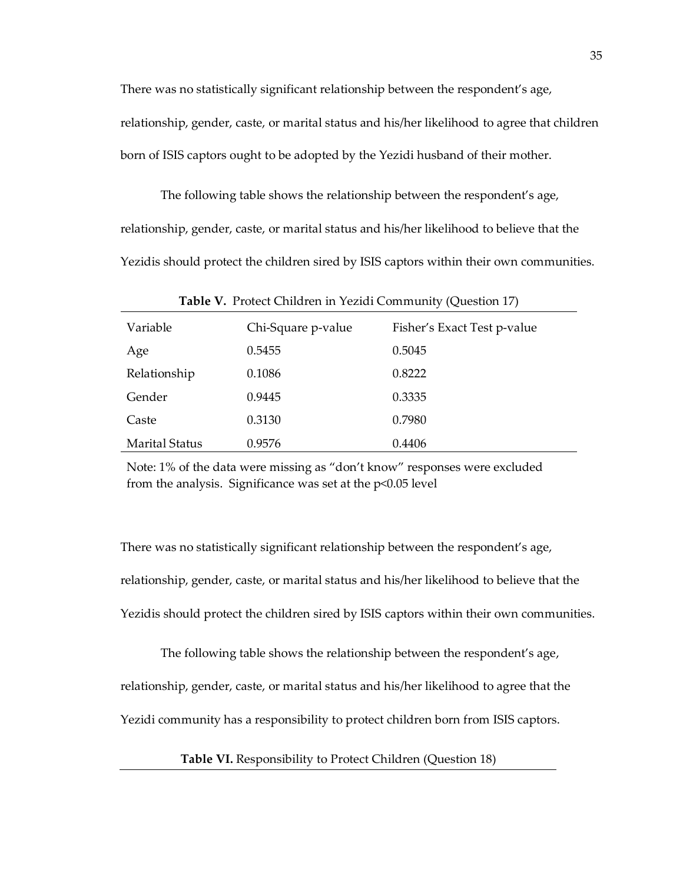There was no statistically significant relationship between the respondent's age, relationship, gender, caste, or marital status and his/her likelihood to agree that children born of ISIS captors ought to be adopted by the Yezidi husband of their mother.

The following table shows the relationship between the respondent's age, relationship, gender, caste, or marital status and his/her likelihood to believe that the Yezidis should protect the children sired by ISIS captors within their own communities.

| Table V. Protect Children in Yezidi Community (Question 17) |                    |                             |  |  |
|-------------------------------------------------------------|--------------------|-----------------------------|--|--|
| Variable                                                    | Chi-Square p-value | Fisher's Exact Test p-value |  |  |
| Age                                                         | 0.5455             | 0.5045                      |  |  |
| Relationship                                                | 0.1086             | 0.8222                      |  |  |
| Gender                                                      | 0.9445             | 0.3335                      |  |  |
| Caste                                                       | 0.3130             | 0.7980                      |  |  |
| <b>Marital Status</b>                                       | 0.9576             | 0.4406                      |  |  |

Note: 1% of the data were missing as "don't know" responses were excluded from the analysis. Significance was set at the p<0.05 level

There was no statistically significant relationship between the respondent's age, relationship, gender, caste, or marital status and his/her likelihood to believe that the Yezidis should protect the children sired by ISIS captors within their own communities.

The following table shows the relationship between the respondent's age, relationship, gender, caste, or marital status and his/her likelihood to agree that the Yezidi community has a responsibility to protect children born from ISIS captors.

**Table VI.** Responsibility to Protect Children (Question 18)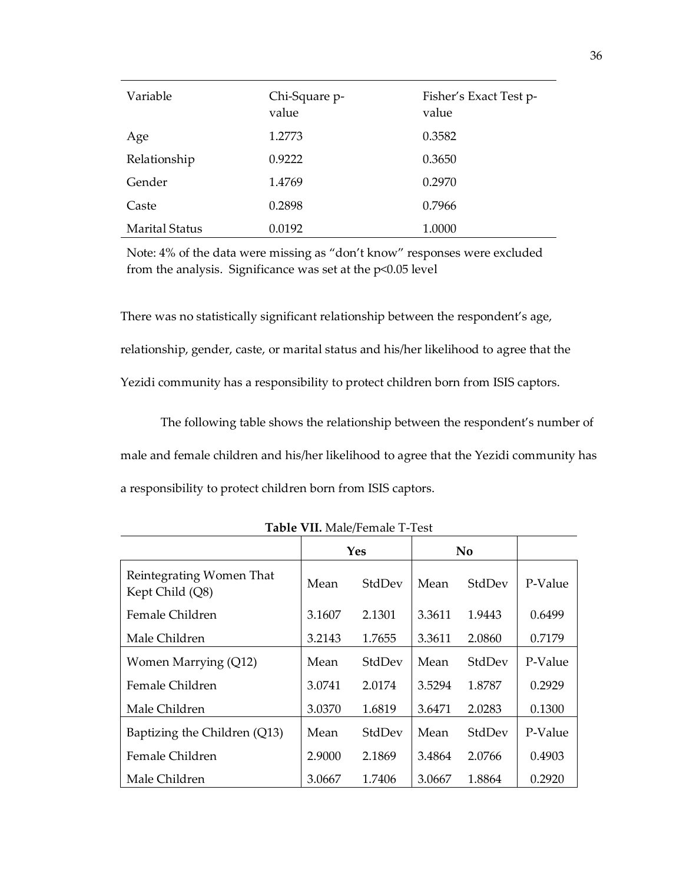| Variable              | Chi-Square p-<br>value | Fisher's Exact Test p-<br>value |
|-----------------------|------------------------|---------------------------------|
| Age                   | 1.2773                 | 0.3582                          |
| Relationship          | 0.9222                 | 0.3650                          |
| Gender                | 1.4769                 | 0.2970                          |
| Caste                 | 0.2898                 | 0.7966                          |
| <b>Marital Status</b> | 0.0192                 | 1.0000                          |

Note: 4% of the data were missing as "don't know" responses were excluded from the analysis. Significance was set at the p<0.05 level

There was no statistically significant relationship between the respondent's age, relationship, gender, caste, or marital status and his/her likelihood to agree that the Yezidi community has a responsibility to protect children born from ISIS captors.

The following table shows the relationship between the respondent's number of male and female children and his/her likelihood to agree that the Yezidi community has a responsibility to protect children born from ISIS captors.

|                                             | Yes    |        | No.    |        |         |
|---------------------------------------------|--------|--------|--------|--------|---------|
| Reintegrating Women That<br>Kept Child (Q8) | Mean   | StdDev | Mean   | StdDev | P-Value |
| Female Children                             | 3.1607 | 2.1301 | 3.3611 | 1.9443 | 0.6499  |
| Male Children                               | 3.2143 | 1.7655 | 3.3611 | 2.0860 | 0.7179  |
| Women Marrying (Q12)                        | Mean   | StdDev | Mean   | StdDev | P-Value |
| Female Children                             | 3.0741 | 2.0174 | 3.5294 | 1.8787 | 0.2929  |
| Male Children                               | 3.0370 | 1.6819 | 3.6471 | 2.0283 | 0.1300  |
| Baptizing the Children (Q13)                | Mean   | StdDev | Mean   | StdDev | P-Value |
| Female Children                             | 2.9000 | 2.1869 | 3.4864 | 2.0766 | 0.4903  |
| Male Children                               | 3.0667 | 1.7406 | 3.0667 | 1.8864 | 0.2920  |

**Table VII.** Male/Female T-Test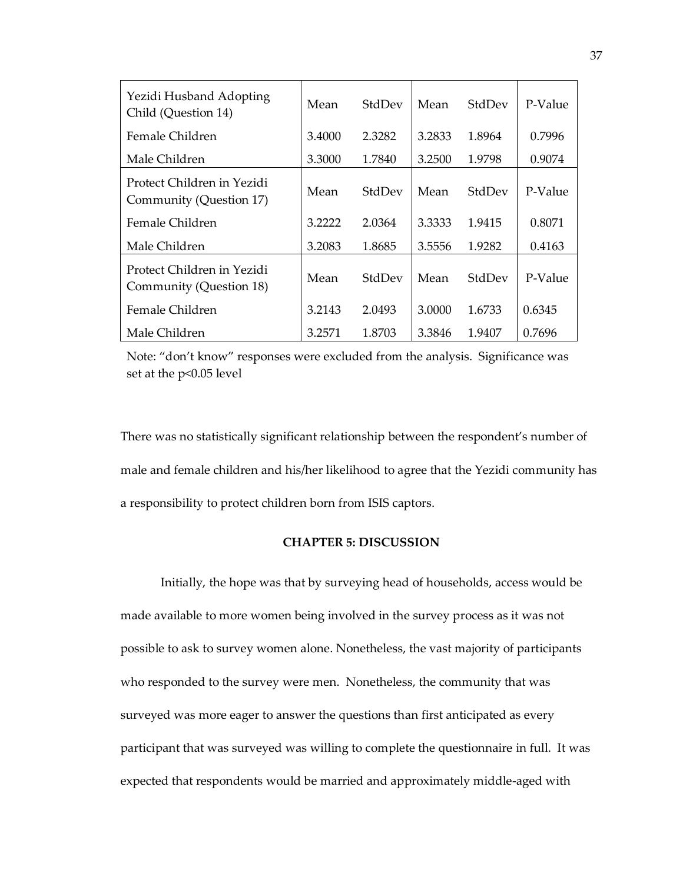| Yezidi Husband Adopting<br>Child (Question 14)        | Mean   | StdDev | Mean   | StdDev | P-Value |
|-------------------------------------------------------|--------|--------|--------|--------|---------|
| Female Children                                       | 3.4000 | 2.3282 | 3.2833 | 1.8964 | 0.7996  |
| Male Children                                         | 3.3000 | 1.7840 | 3.2500 | 1.9798 | 0.9074  |
| Protect Children in Yezidi<br>Community (Question 17) | Mean   | StdDev | Mean   | StdDev | P-Value |
| Female Children                                       | 3.2222 | 2.0364 | 3.3333 | 1.9415 | 0.8071  |
| Male Children                                         | 3.2083 | 1.8685 | 3.5556 | 1.9282 | 0.4163  |
| Protect Children in Yezidi<br>Community (Question 18) | Mean   | StdDev | Mean   | StdDev | P-Value |
| Female Children                                       | 3.2143 | 2.0493 | 3.0000 | 1.6733 | 0.6345  |
| Male Children                                         | 3.2571 | 1.8703 | 3.3846 | 1.9407 | 0.7696  |

Note: "don't know" responses were excluded from the analysis. Significance was set at the p<0.05 level

There was no statistically significant relationship between the respondent's number of male and female children and his/her likelihood to agree that the Yezidi community has a responsibility to protect children born from ISIS captors.

# **CHAPTER 5: DISCUSSION**

<span id="page-43-0"></span>Initially, the hope was that by surveying head of households, access would be made available to more women being involved in the survey process as it was not possible to ask to survey women alone. Nonetheless, the vast majority of participants who responded to the survey were men. Nonetheless, the community that was surveyed was more eager to answer the questions than first anticipated as every participant that was surveyed was willing to complete the questionnaire in full. It was expected that respondents would be married and approximately middle-aged with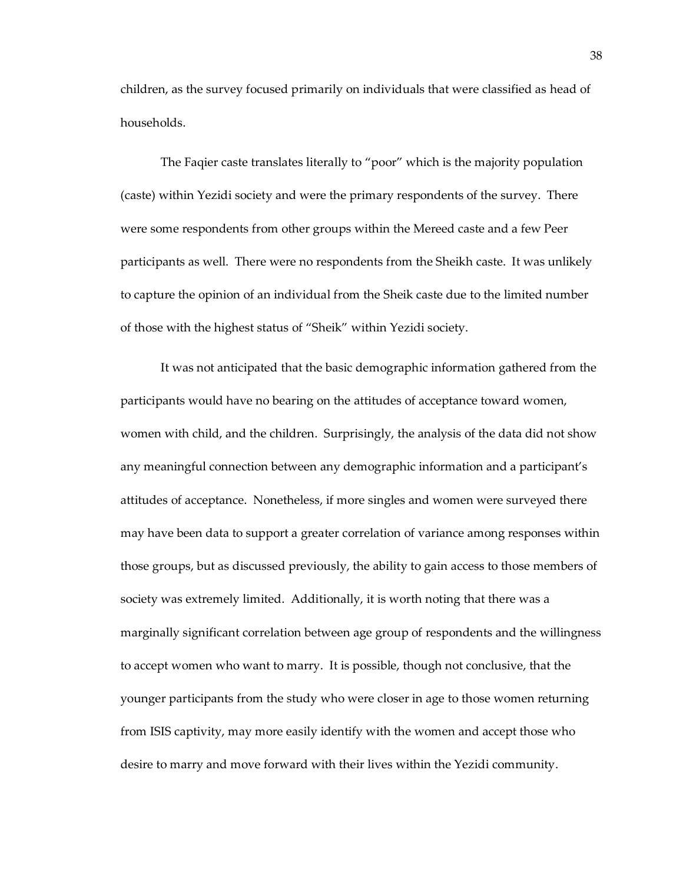children, as the survey focused primarily on individuals that were classified as head of households.

The Faqier caste translates literally to "poor" which is the majority population (caste) within Yezidi society and were the primary respondents of the survey. There were some respondents from other groups within the Mereed caste and a few Peer participants as well. There were no respondents from the Sheikh caste. It was unlikely to capture the opinion of an individual from the Sheik caste due to the limited number of those with the highest status of "Sheik" within Yezidi society.

It was not anticipated that the basic demographic information gathered from the participants would have no bearing on the attitudes of acceptance toward women, women with child, and the children. Surprisingly, the analysis of the data did not show any meaningful connection between any demographic information and a participant's attitudes of acceptance. Nonetheless, if more singles and women were surveyed there may have been data to support a greater correlation of variance among responses within those groups, but as discussed previously, the ability to gain access to those members of society was extremely limited. Additionally, it is worth noting that there was a marginally significant correlation between age group of respondents and the willingness to accept women who want to marry. It is possible, though not conclusive, that the younger participants from the study who were closer in age to those women returning from ISIS captivity, may more easily identify with the women and accept those who desire to marry and move forward with their lives within the Yezidi community.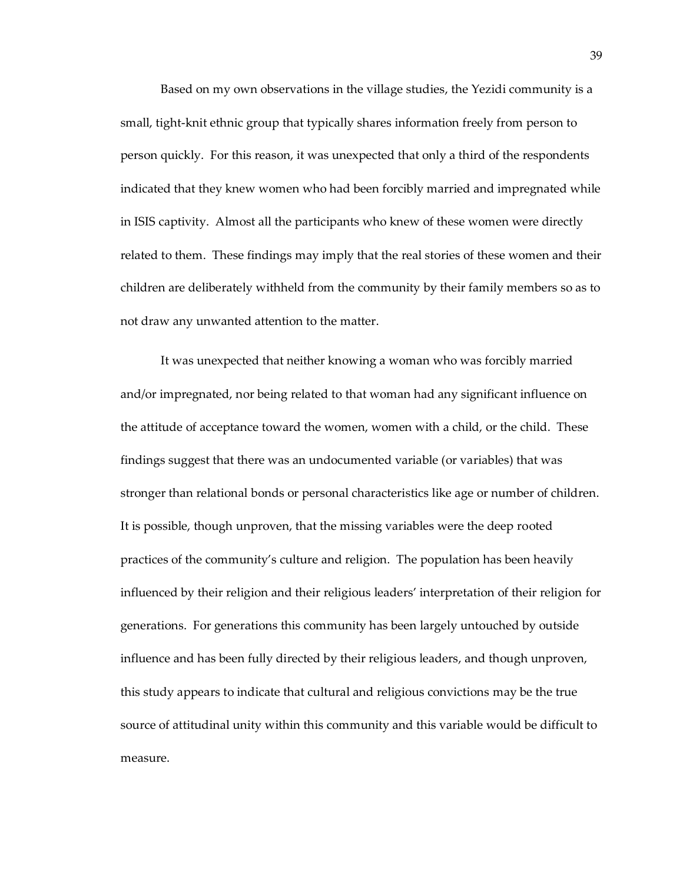Based on my own observations in the village studies, the Yezidi community is a small, tight-knit ethnic group that typically shares information freely from person to person quickly. For this reason, it was unexpected that only a third of the respondents indicated that they knew women who had been forcibly married and impregnated while in ISIS captivity. Almost all the participants who knew of these women were directly related to them. These findings may imply that the real stories of these women and their children are deliberately withheld from the community by their family members so as to not draw any unwanted attention to the matter.

It was unexpected that neither knowing a woman who was forcibly married and/or impregnated, nor being related to that woman had any significant influence on the attitude of acceptance toward the women, women with a child, or the child. These findings suggest that there was an undocumented variable (or variables) that was stronger than relational bonds or personal characteristics like age or number of children. It is possible, though unproven, that the missing variables were the deep rooted practices of the community's culture and religion. The population has been heavily influenced by their religion and their religious leaders' interpretation of their religion for generations. For generations this community has been largely untouched by outside influence and has been fully directed by their religious leaders, and though unproven, this study appears to indicate that cultural and religious convictions may be the true source of attitudinal unity within this community and this variable would be difficult to measure.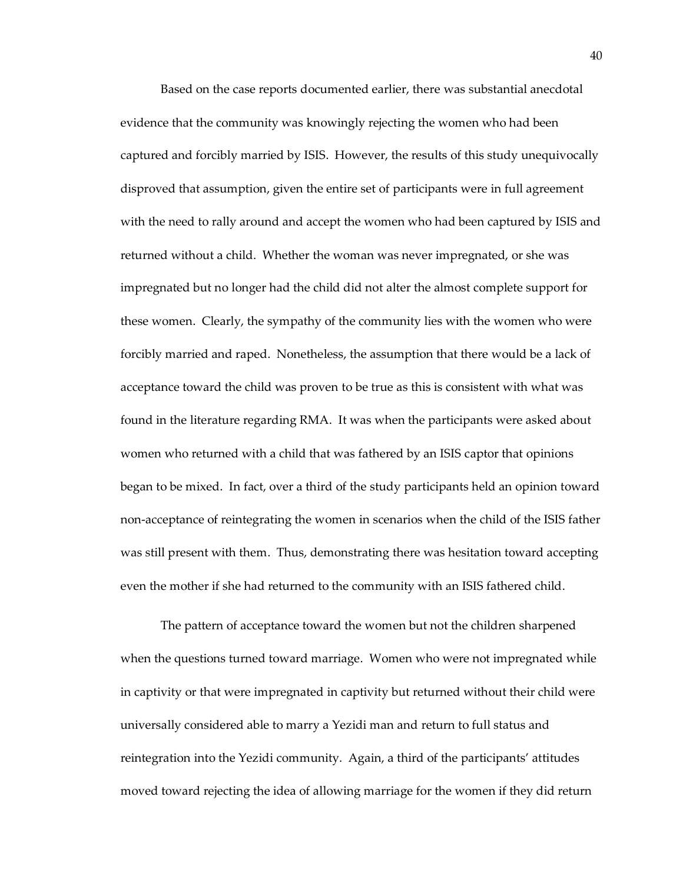Based on the case reports documented earlier, there was substantial anecdotal evidence that the community was knowingly rejecting the women who had been captured and forcibly married by ISIS. However, the results of this study unequivocally disproved that assumption, given the entire set of participants were in full agreement with the need to rally around and accept the women who had been captured by ISIS and returned without a child. Whether the woman was never impregnated, or she was impregnated but no longer had the child did not alter the almost complete support for these women. Clearly, the sympathy of the community lies with the women who were forcibly married and raped. Nonetheless, the assumption that there would be a lack of acceptance toward the child was proven to be true as this is consistent with what was found in the literature regarding RMA. It was when the participants were asked about women who returned with a child that was fathered by an ISIS captor that opinions began to be mixed. In fact, over a third of the study participants held an opinion toward non-acceptance of reintegrating the women in scenarios when the child of the ISIS father was still present with them. Thus, demonstrating there was hesitation toward accepting even the mother if she had returned to the community with an ISIS fathered child.

The pattern of acceptance toward the women but not the children sharpened when the questions turned toward marriage. Women who were not impregnated while in captivity or that were impregnated in captivity but returned without their child were universally considered able to marry a Yezidi man and return to full status and reintegration into the Yezidi community. Again, a third of the participants' attitudes moved toward rejecting the idea of allowing marriage for the women if they did return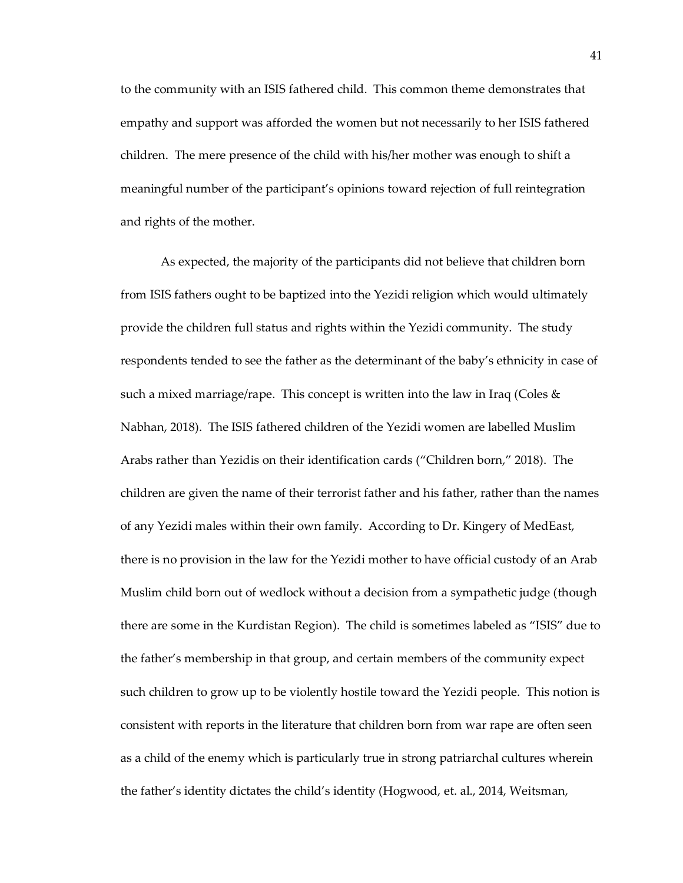to the community with an ISIS fathered child. This common theme demonstrates that empathy and support was afforded the women but not necessarily to her ISIS fathered children. The mere presence of the child with his/her mother was enough to shift a meaningful number of the participant's opinions toward rejection of full reintegration and rights of the mother.

As expected, the majority of the participants did not believe that children born from ISIS fathers ought to be baptized into the Yezidi religion which would ultimately provide the children full status and rights within the Yezidi community. The study respondents tended to see the father as the determinant of the baby's ethnicity in case of such a mixed marriage/rape. This concept is written into the law in Iraq (Coles  $\&$ Nabhan, 2018). The ISIS fathered children of the Yezidi women are labelled Muslim Arabs rather than Yezidis on their identification cards ("Children born," 2018). The children are given the name of their terrorist father and his father, rather than the names of any Yezidi males within their own family. According to Dr. Kingery of MedEast, there is no provision in the law for the Yezidi mother to have official custody of an Arab Muslim child born out of wedlock without a decision from a sympathetic judge (though there are some in the Kurdistan Region). The child is sometimes labeled as "ISIS" due to the father's membership in that group, and certain members of the community expect such children to grow up to be violently hostile toward the Yezidi people. This notion is consistent with reports in the literature that children born from war rape are often seen as a child of the enemy which is particularly true in strong patriarchal cultures wherein the father's identity dictates the child's identity (Hogwood, et. al., 2014, Weitsman,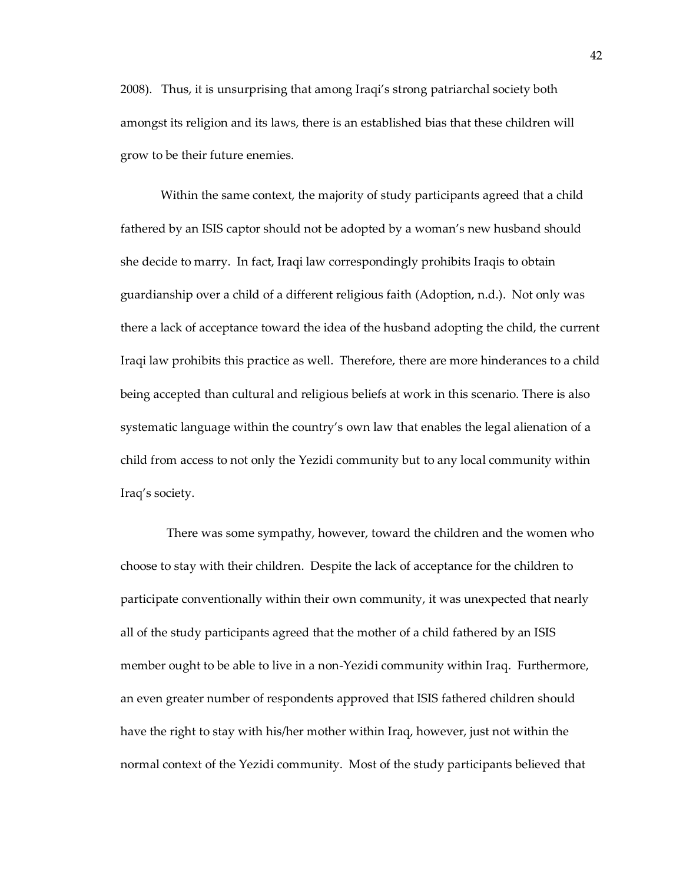2008). Thus, it is unsurprising that among Iraqi's strong patriarchal society both amongst its religion and its laws, there is an established bias that these children will grow to be their future enemies.

Within the same context, the majority of study participants agreed that a child fathered by an ISIS captor should not be adopted by a woman's new husband should she decide to marry. In fact, Iraqi law correspondingly prohibits Iraqis to obtain guardianship over a child of a different religious faith (Adoption, n.d.). Not only was there a lack of acceptance toward the idea of the husband adopting the child, the current Iraqi law prohibits this practice as well. Therefore, there are more hinderances to a child being accepted than cultural and religious beliefs at work in this scenario. There is also systematic language within the country's own law that enables the legal alienation of a child from access to not only the Yezidi community but to any local community within Iraq's society.

There was some sympathy, however, toward the children and the women who choose to stay with their children. Despite the lack of acceptance for the children to participate conventionally within their own community, it was unexpected that nearly all of the study participants agreed that the mother of a child fathered by an ISIS member ought to be able to live in a non-Yezidi community within Iraq. Furthermore, an even greater number of respondents approved that ISIS fathered children should have the right to stay with his/her mother within Iraq, however, just not within the normal context of the Yezidi community. Most of the study participants believed that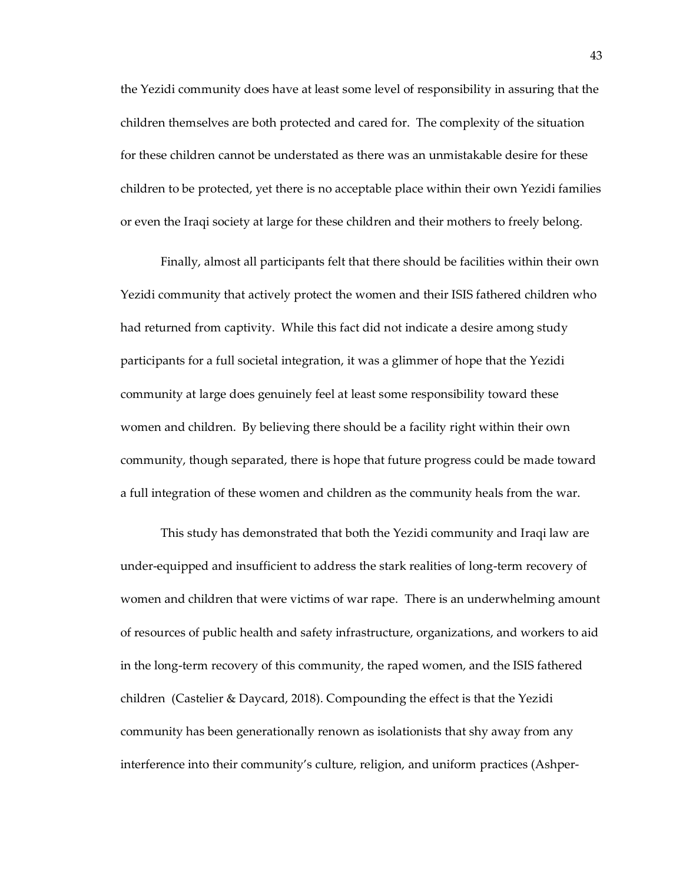the Yezidi community does have at least some level of responsibility in assuring that the children themselves are both protected and cared for. The complexity of the situation for these children cannot be understated as there was an unmistakable desire for these children to be protected, yet there is no acceptable place within their own Yezidi families or even the Iraqi society at large for these children and their mothers to freely belong.

Finally, almost all participants felt that there should be facilities within their own Yezidi community that actively protect the women and their ISIS fathered children who had returned from captivity. While this fact did not indicate a desire among study participants for a full societal integration, it was a glimmer of hope that the Yezidi community at large does genuinely feel at least some responsibility toward these women and children. By believing there should be a facility right within their own community, though separated, there is hope that future progress could be made toward a full integration of these women and children as the community heals from the war.

This study has demonstrated that both the Yezidi community and Iraqi law are under-equipped and insufficient to address the stark realities of long-term recovery of women and children that were victims of war rape. There is an underwhelming amount of resources of public health and safety infrastructure, organizations, and workers to aid in the long-term recovery of this community, the raped women, and the ISIS fathered children (Castelier & Daycard, 2018). Compounding the effect is that the Yezidi community has been generationally renown as isolationists that shy away from any interference into their community's culture, religion, and uniform practices (Ashper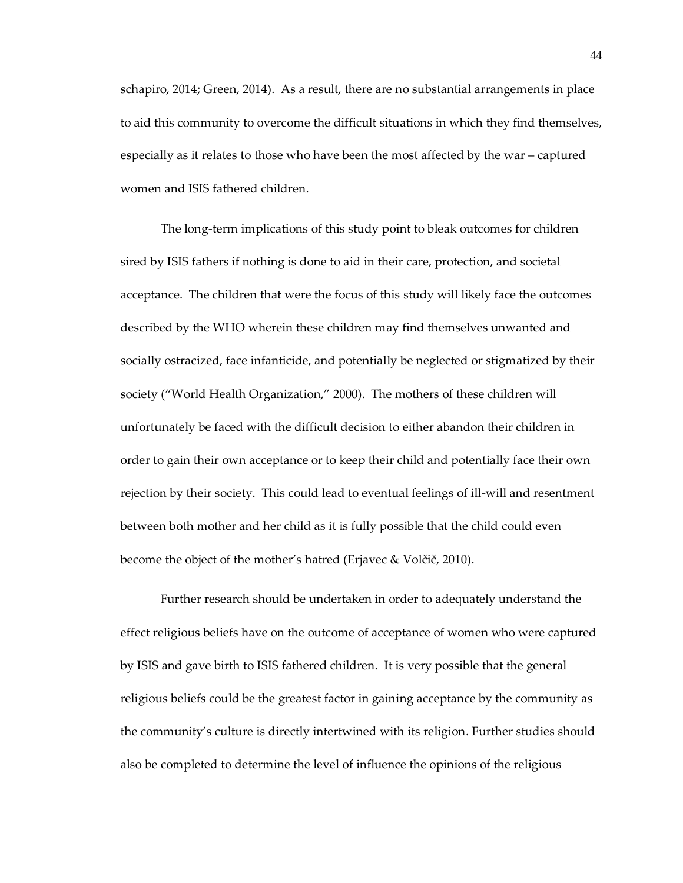schapiro, 2014; Green, 2014). As a result, there are no substantial arrangements in place to aid this community to overcome the difficult situations in which they find themselves, especially as it relates to those who have been the most affected by the war – captured women and ISIS fathered children.

The long-term implications of this study point to bleak outcomes for children sired by ISIS fathers if nothing is done to aid in their care, protection, and societal acceptance. The children that were the focus of this study will likely face the outcomes described by the WHO wherein these children may find themselves unwanted and socially ostracized, face infanticide, and potentially be neglected or stigmatized by their society ("World Health Organization," 2000). The mothers of these children will unfortunately be faced with the difficult decision to either abandon their children in order to gain their own acceptance or to keep their child and potentially face their own rejection by their society. This could lead to eventual feelings of ill-will and resentment between both mother and her child as it is fully possible that the child could even become the object of the mother's hatred (Erjavec & Volčič, 2010).

Further research should be undertaken in order to adequately understand the effect religious beliefs have on the outcome of acceptance of women who were captured by ISIS and gave birth to ISIS fathered children. It is very possible that the general religious beliefs could be the greatest factor in gaining acceptance by the community as the community's culture is directly intertwined with its religion. Further studies should also be completed to determine the level of influence the opinions of the religious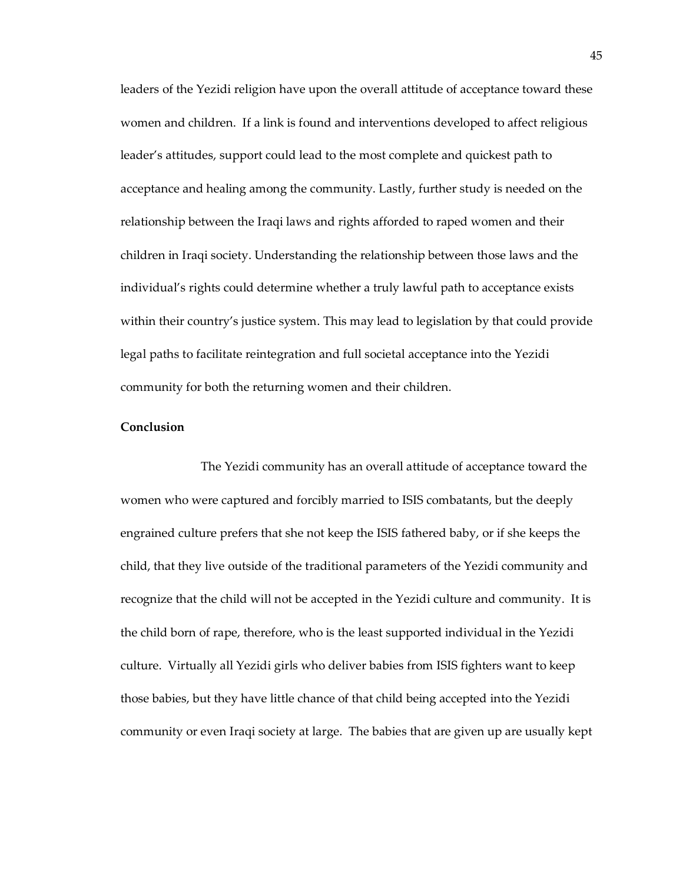leaders of the Yezidi religion have upon the overall attitude of acceptance toward these women and children. If a link is found and interventions developed to affect religious leader's attitudes, support could lead to the most complete and quickest path to acceptance and healing among the community. Lastly, further study is needed on the relationship between the Iraqi laws and rights afforded to raped women and their children in Iraqi society. Understanding the relationship between those laws and the individual's rights could determine whether a truly lawful path to acceptance exists within their country's justice system. This may lead to legislation by that could provide legal paths to facilitate reintegration and full societal acceptance into the Yezidi community for both the returning women and their children.

# <span id="page-51-0"></span>**Conclusion**

The Yezidi community has an overall attitude of acceptance toward the women who were captured and forcibly married to ISIS combatants, but the deeply engrained culture prefers that she not keep the ISIS fathered baby, or if she keeps the child, that they live outside of the traditional parameters of the Yezidi community and recognize that the child will not be accepted in the Yezidi culture and community. It is the child born of rape, therefore, who is the least supported individual in the Yezidi culture. Virtually all Yezidi girls who deliver babies from ISIS fighters want to keep those babies, but they have little chance of that child being accepted into the Yezidi community or even Iraqi society at large. The babies that are given up are usually kept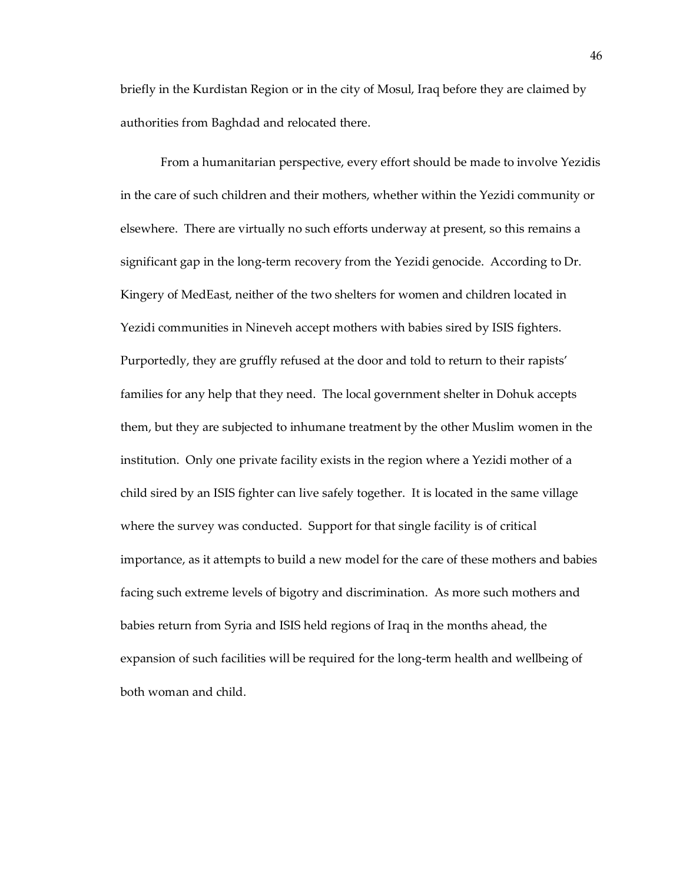briefly in the Kurdistan Region or in the city of Mosul, Iraq before they are claimed by authorities from Baghdad and relocated there.

From a humanitarian perspective, every effort should be made to involve Yezidis in the care of such children and their mothers, whether within the Yezidi community or elsewhere. There are virtually no such efforts underway at present, so this remains a significant gap in the long-term recovery from the Yezidi genocide. According to Dr. Kingery of MedEast, neither of the two shelters for women and children located in Yezidi communities in Nineveh accept mothers with babies sired by ISIS fighters. Purportedly, they are gruffly refused at the door and told to return to their rapists' families for any help that they need. The local government shelter in Dohuk accepts them, but they are subjected to inhumane treatment by the other Muslim women in the institution. Only one private facility exists in the region where a Yezidi mother of a child sired by an ISIS fighter can live safely together. It is located in the same village where the survey was conducted. Support for that single facility is of critical importance, as it attempts to build a new model for the care of these mothers and babies facing such extreme levels of bigotry and discrimination. As more such mothers and babies return from Syria and ISIS held regions of Iraq in the months ahead, the expansion of such facilities will be required for the long-term health and wellbeing of both woman and child.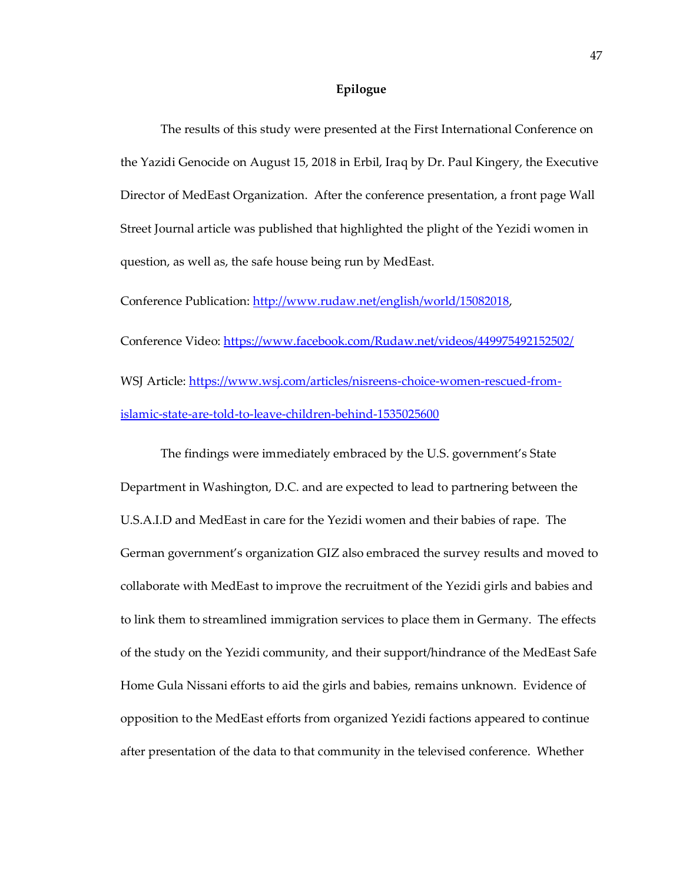# **Epilogue**

<span id="page-53-0"></span>The results of this study were presented at the First International Conference on the Yazidi Genocide on August 15, 2018 in Erbil, Iraq by Dr. Paul Kingery, the Executive Director of MedEast Organization. After the conference presentation, a front page Wall Street Journal article was published that highlighted the plight of the Yezidi women in question, as well as, the safe house being run by MedEast.

Conference Publication: [http://www.rudaw.net/english/world/15082018,](http://www.rudaw.net/english/world/15082018) Conference Video:<https://www.facebook.com/Rudaw.net/videos/449975492152502/> WSJ Article: [https://www.wsj.com/articles/nisreens-choice-women-rescued-from](https://www.wsj.com/articles/nisreens-choice-women-rescued-from-islamic-state-are-told-to-leave-children-behind-1535025600)[islamic-state-are-told-to-leave-children-behind-1535025600](https://www.wsj.com/articles/nisreens-choice-women-rescued-from-islamic-state-are-told-to-leave-children-behind-1535025600)

The findings were immediately embraced by the U.S. government's State Department in Washington, D.C. and are expected to lead to partnering between the U.S.A.I.D and MedEast in care for the Yezidi women and their babies of rape. The German government's organization GIZ also embraced the survey results and moved to collaborate with MedEast to improve the recruitment of the Yezidi girls and babies and to link them to streamlined immigration services to place them in Germany. The effects of the study on the Yezidi community, and their support/hindrance of the MedEast Safe Home Gula Nissani efforts to aid the girls and babies, remains unknown. Evidence of opposition to the MedEast efforts from organized Yezidi factions appeared to continue after presentation of the data to that community in the televised conference. Whether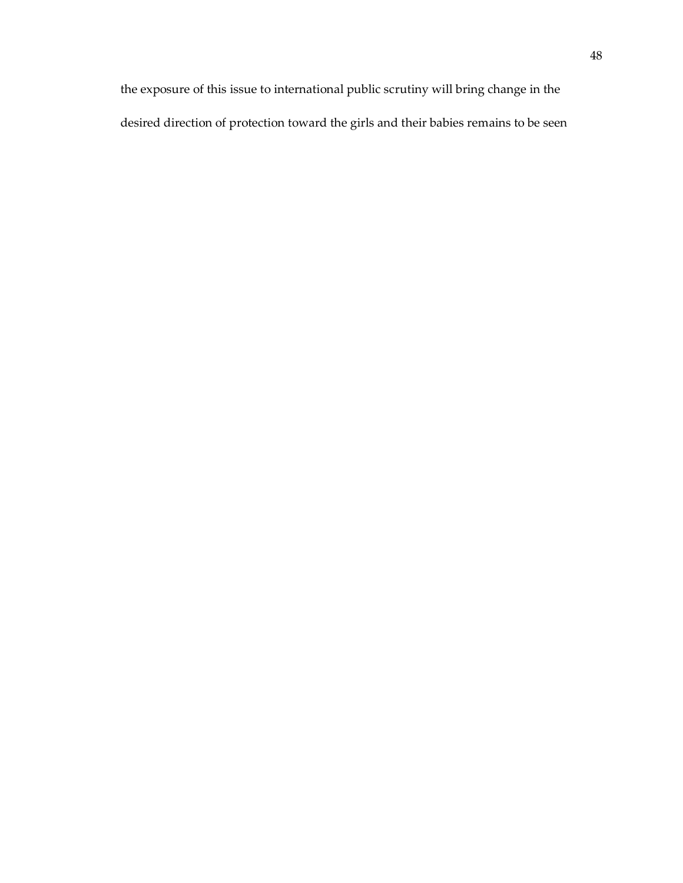the exposure of this issue to international public scrutiny will bring change in the desired direction of protection toward the girls and their babies remains to be seen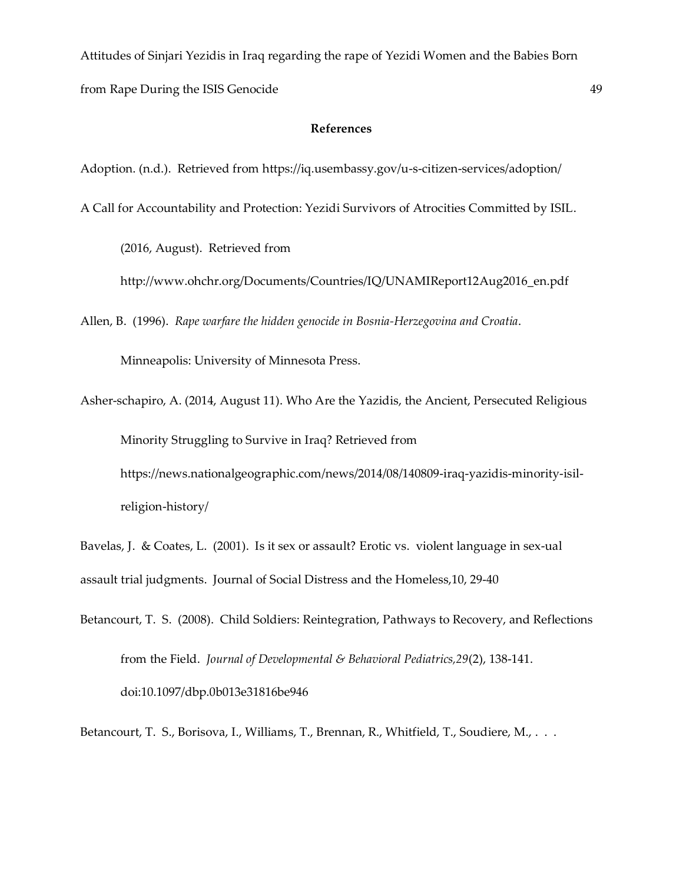Attitudes of Sinjari Yezidis in Iraq regarding the rape of Yezidi Women and the Babies Born from Rape During the ISIS Genocide 49

# **References**

<span id="page-55-0"></span>Adoption. (n.d.). Retrieved from https://iq.usembassy.gov/u-s-citizen-services/adoption/

A Call for Accountability and Protection: Yezidi Survivors of Atrocities Committed by ISIL.

(2016, August). Retrieved from

[http://www.ohchr.org/Documents/Countries/IQ/UNAMIReport12Aug2016\\_en.pdf](http://www.ohchr.org/Documents/Countries/IQ/UNAMIReport12Aug2016_en.pdf)

Allen, B. (1996). *Rape warfare the hidden genocide in Bosnia-Herzegovina and Croatia*.

Minneapolis: University of Minnesota Press.

Asher-schapiro, A. (2014, August 11). Who Are the Yazidis, the Ancient, Persecuted Religious Minority Struggling to Survive in Iraq? Retrieved from https://news.nationalgeographic.com/news/2014/08/140809-iraq-yazidis-minority-isilreligion-history/

Bavelas, J. & Coates, L. (2001). Is it sex or assault? Erotic vs. violent language in sex-ual assault trial judgments. Journal of Social Distress and the Homeless,10, 29-40

Betancourt, T. S. (2008). Child Soldiers: Reintegration, Pathways to Recovery, and Reflections from the Field. *Journal of Developmental & Behavioral Pediatrics,29*(2), 138-141. doi:10.1097/dbp.0b013e31816be946

Betancourt, T. S., Borisova, I., Williams, T., Brennan, R., Whitfield, T., Soudiere, M., ...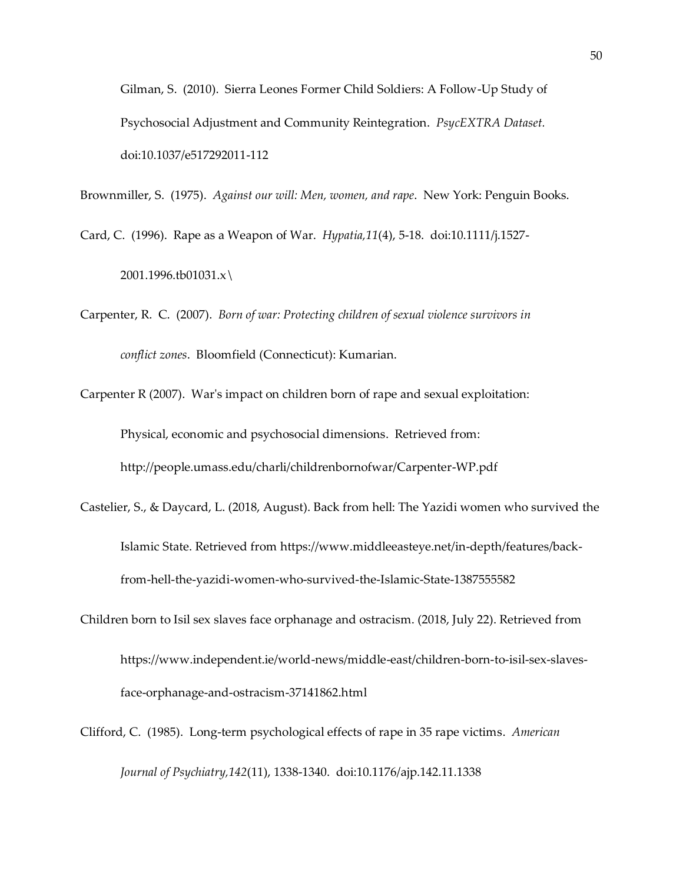Gilman, S. (2010). Sierra Leones Former Child Soldiers: A Follow-Up Study of Psychosocial Adjustment and Community Reintegration. *PsycEXTRA Dataset.*  doi:10.1037/e517292011-112

Brownmiller, S. (1975). *Against our will: Men, women, and rape*. New York: Penguin Books.

Card, C. (1996). Rape as a Weapon of War. *Hypatia,11*(4), 5-18. doi:10.1111/j.1527- 2001.1996.tb01031.x\

Carpenter, R. C. (2007). *Born of war: Protecting children of sexual violence survivors in conflict zones*. Bloomfield (Connecticut): Kumarian.

Carpenter R (2007). War's impact on children born of rape and sexual exploitation: Physical, economic and psychosocial dimensions. Retrieved from: <http://people.umass.edu/charli/childrenbornofwar/Carpenter-WP.pdf>

- Castelier, S., & Daycard, L. (2018, August). Back from hell: The Yazidi women who survived the Islamic State. Retrieved from [https://www.middleeasteye.net/in-depth/features/back](https://www.middleeasteye.net/in-depth/features/back-)from-hell-the-yazidi-women-who-survived-the-Islamic-State-1387555582
- Children born to Isil sex slaves face orphanage and ostracism. (2018, July 22). Retrieved from [https://www.independent.ie/world-news/middle-east/children-born-to-isil-sex-slaves](https://www.independent.ie/world-news/middle-east/children-born-to-isil-sex-slaves-)face-orphanage-and-ostracism-37141862.html
- Clifford, C. (1985). Long-term psychological effects of rape in 35 rape victims. *American Journal of Psychiatry,142*(11), 1338-1340. doi:10.1176/ajp.142.11.1338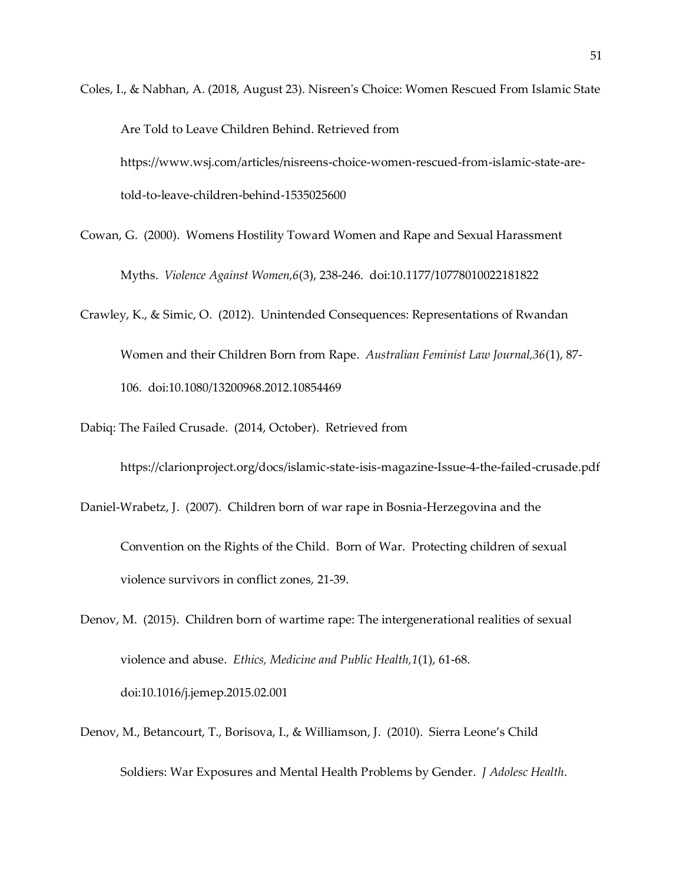Coles, I., & Nabhan, A. (2018, August 23). Nisreen's Choice: Women Rescued From Islamic State Are Told to Leave Children Behind. Retrieved from https://www.wsj.com/articles/nisreens-choice-women-rescued-from-islamic-state-aretold-to-leave-children-behind-1535025600

Cowan, G. (2000). Womens Hostility Toward Women and Rape and Sexual Harassment Myths. *Violence Against Women,6*(3), 238-246. doi:10.1177/10778010022181822

Crawley, K., & Simic, O. (2012). Unintended Consequences: Representations of Rwandan Women and their Children Born from Rape. *Australian Feminist Law Journal,36*(1), 87- 106. doi:10.1080/13200968.2012.10854469

Dabiq: The Failed Crusade. (2014, October). Retrieved from

<https://clarionproject.org/docs/islamic-state-isis-magazine-Issue-4-the-failed-crusade.pdf>

Daniel-Wrabetz, J. (2007). Children born of war rape in Bosnia-Herzegovina and the Convention on the Rights of the Child. Born of War. Protecting children of sexual violence survivors in conflict zones, 21-39.

Denov, M. (2015). Children born of wartime rape: The intergenerational realities of sexual violence and abuse. *Ethics, Medicine and Public Health,1*(1), 61-68. doi:10.1016/j.jemep.2015.02.001

Denov, M., Betancourt, T., Borisova, I., & Williamson, J. (2010). Sierra Leone's Child Soldiers: War Exposures and Mental Health Problems by Gender. *J Adolesc Health*.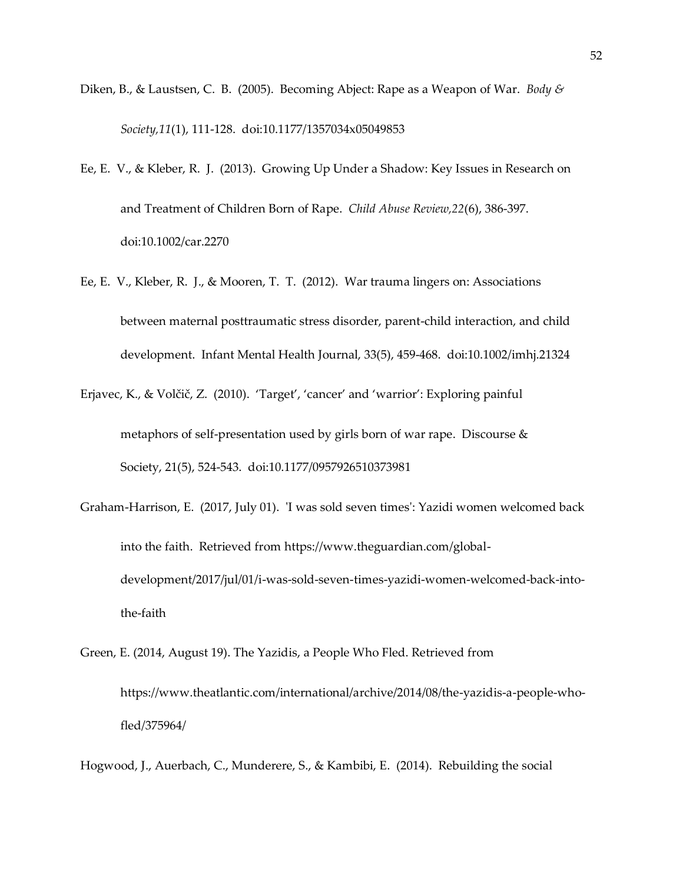- Diken, B., & Laustsen, C. B. (2005). Becoming Abject: Rape as a Weapon of War. *Body & Society,11*(1), 111-128. doi:10.1177/1357034x05049853
- Ee, E. V., & Kleber, R. J. (2013). Growing Up Under a Shadow: Key Issues in Research on and Treatment of Children Born of Rape. *Child Abuse Review,22*(6), 386-397. doi:10.1002/car.2270
- Ee, E. V., Kleber, R. J., & Mooren, T. T. (2012). War trauma lingers on: Associations between maternal posttraumatic stress disorder, parent-child interaction, and child development. Infant Mental Health Journal, 33(5), 459-468. doi:10.1002/imhj.21324
- Erjavec, K., & Volčič, Z. (2010). 'Target', 'cancer' and 'warrior': Exploring painful metaphors of self-presentation used by girls born of war rape. Discourse & Society, 21(5), 524-543. doi:10.1177/0957926510373981
- Graham-Harrison, E. (2017, July 01). 'I was sold seven times': Yazidi women welcomed back into the faith. Retrieved from [https://www.theguardian.com/global](https://www.theguardian.com/global-development/2017/jul/01/i-was-sold-seven-times-yazidi-women-welcomed-back-into-the-faith)[development/2017/jul/01/i-was-sold-seven-times-yazidi-women-welcomed-back-into](https://www.theguardian.com/global-development/2017/jul/01/i-was-sold-seven-times-yazidi-women-welcomed-back-into-the-faith)[the-faith](https://www.theguardian.com/global-development/2017/jul/01/i-was-sold-seven-times-yazidi-women-welcomed-back-into-the-faith)
- Green, E. (2014, August 19). The Yazidis, a People Who Fled. Retrieved from [https://www.theatlantic.com/international/archive/2014/08/the-yazidis-a-people-who](https://www.theatlantic.com/international/archive/2014/08/the-yazidis-a-people-who-)fled/375964/
- Hogwood, J., Auerbach, C., Munderere, S., & Kambibi, E. (2014). Rebuilding the social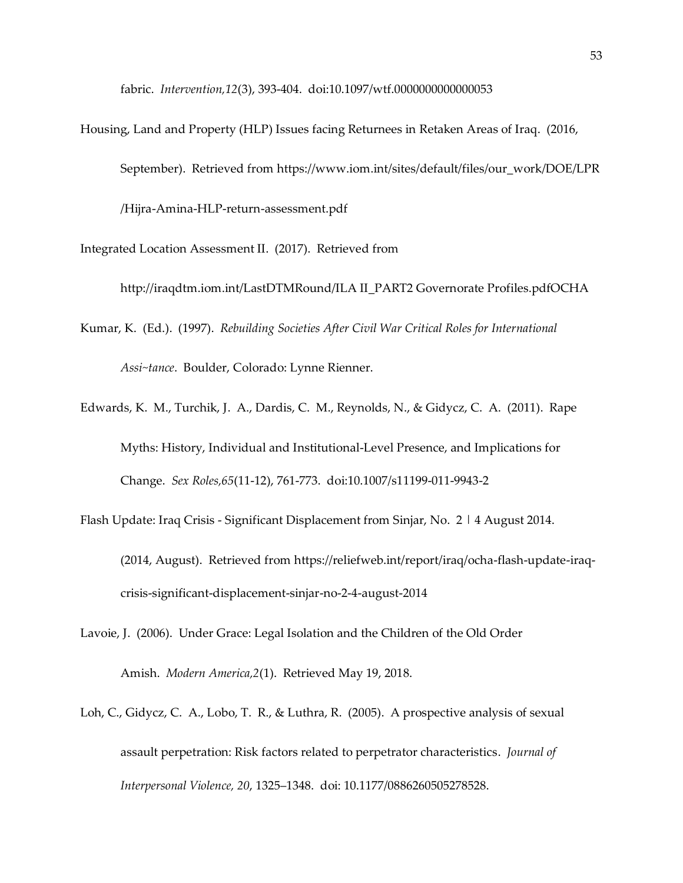fabric. *Intervention,12*(3), 393-404. doi:10.1097/wtf.0000000000000053

Housing, Land and Property (HLP) Issues facing Returnees in Retaken Areas of Iraq. (2016, September). Retrieved from [https://www.iom.int/sites/default/files/our\\_work/DOE/LPR](https://www.iom.int/sites/default/files/our_work/DOE/LPR) /Hijra-Amina-HLP-return-assessment.pdf

Integrated Location Assessment II. (2017). Retrieved from

http://iraqdtm.iom.int/LastDTMRound/ILA II\_PART2 Governorate Profiles.pdfOCHA

- Kumar, K. (Ed.). (1997). *Rebuilding Societies After Civil War Critical Roles for International Assi~tance*. Boulder, Colorado: Lynne Rienner.
- Edwards, K. M., Turchik, J. A., Dardis, C. M., Reynolds, N., & Gidycz, C. A. (2011). Rape Myths: History, Individual and Institutional-Level Presence, and Implications for Change. *Sex Roles,65*(11-12), 761-773. doi:10.1007/s11199-011-9943-2
- Flash Update: Iraq Crisis Significant Displacement from Sinjar, No. 2 | 4 August 2014. (2014, August). Retrieved from [https://reliefweb.int/report/iraq/ocha-flash-update-iraq](https://reliefweb.int/report/iraq/ocha-flash-update-iraq-)crisis-significant-displacement-sinjar-no-2-4-august-2014
- Lavoie, J. (2006). Under Grace: Legal Isolation and the Children of the Old Order Amish. *Modern America,2*(1). Retrieved May 19, 2018.
- Loh, C., Gidycz, C. A., Lobo, T. R., & Luthra, R. (2005). A prospective analysis of sexual assault perpetration: Risk factors related to perpetrator characteristics. *Journal of Interpersonal Violence, 20*, 1325–1348. doi: [10.1177/0886260505278528.](https://doi-org.library1.unmc.edu/10.1177/0886260505278528)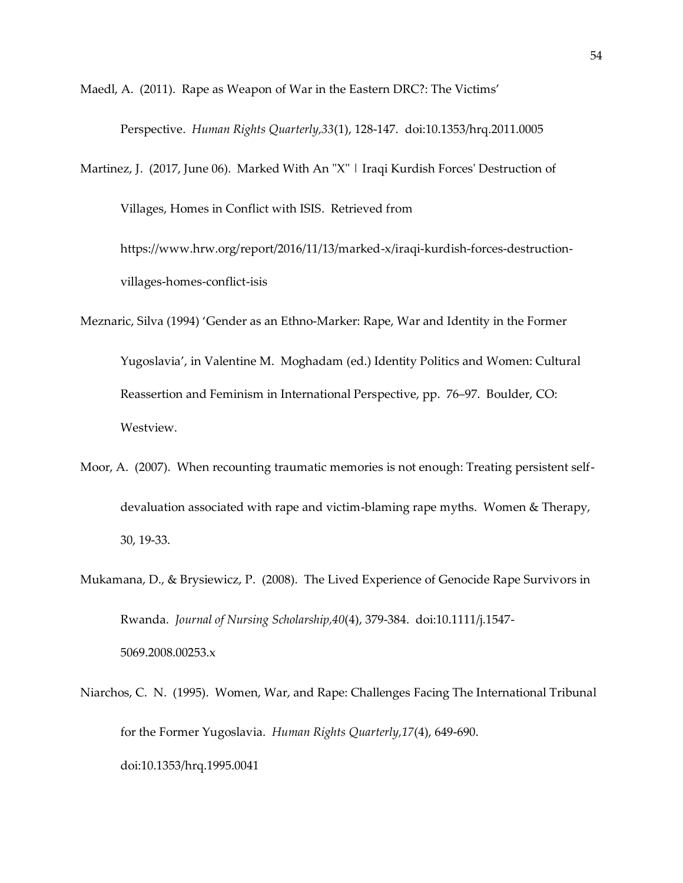Maedl, A. (2011). Rape as Weapon of War in the Eastern DRC?: The Victims'

Perspective. *Human Rights Quarterly,33*(1), 128-147. doi:10.1353/hrq.2011.0005

Martinez, J. (2017, June 06). Marked With An "X" | Iraqi Kurdish Forces' Destruction of Villages, Homes in Conflict with ISIS. Retrieved from

[https://www.hrw.org/report/2016/11/13/marked-x/iraqi-kurdish-forces-destruction](https://www.hrw.org/report/2016/11/13/marked-x/iraqi-kurdish-forces-destruction-villages-homes-conflict-isis)[villages-homes-conflict-isis](https://www.hrw.org/report/2016/11/13/marked-x/iraqi-kurdish-forces-destruction-villages-homes-conflict-isis)

- Meznaric, Silva (1994) 'Gender as an Ethno-Marker: Rape, War and Identity in the Former Yugoslavia', in Valentine M. Moghadam (ed.) Identity Politics and Women: Cultural Reassertion and Feminism in International Perspective, pp. 76–97. Boulder, CO: Westview.
- Moor, A. (2007). When recounting traumatic memories is not enough: Treating persistent selfdevaluation associated with rape and victim-blaming rape myths. Women & Therapy, 30, 19-33.
- Mukamana, D., & Brysiewicz, P. (2008). The Lived Experience of Genocide Rape Survivors in Rwanda. *Journal of Nursing Scholarship,40*(4), 379-384. doi:10.1111/j.1547- 5069.2008.00253.x
- Niarchos, C. N. (1995). Women, War, and Rape: Challenges Facing The International Tribunal for the Former Yugoslavia. *Human Rights Quarterly,17*(4), 649-690. doi:10.1353/hrq.1995.0041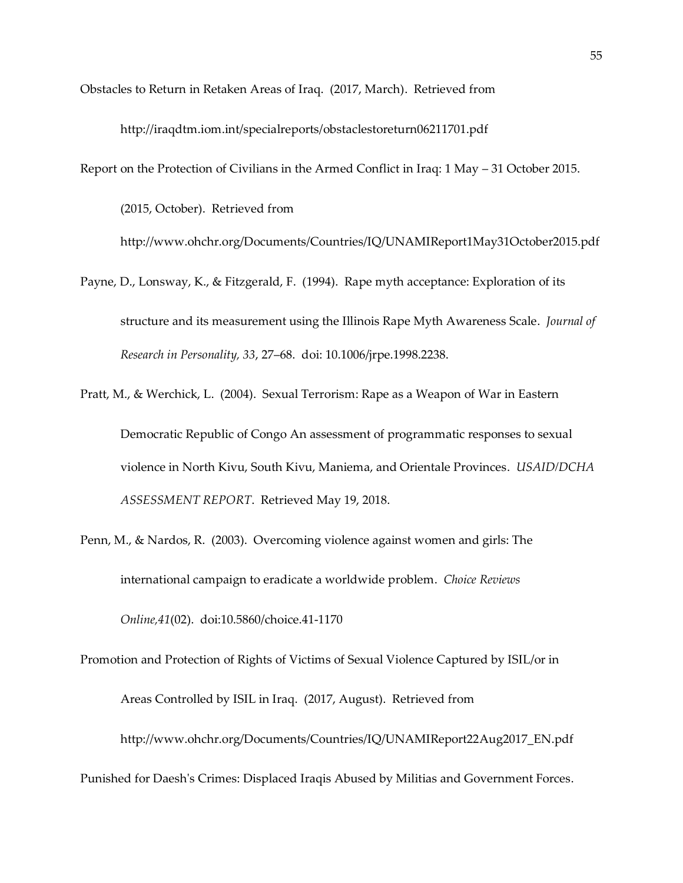Obstacles to Return in Retaken Areas of Iraq. (2017, March). Retrieved from

<http://iraqdtm.iom.int/specialreports/obstaclestoreturn06211701.pdf>

Report on the Protection of Civilians in the Armed Conflict in Iraq: 1 May – 31 October 2015.

(2015, October). Retrieved from <http://www.ohchr.org/Documents/Countries/IQ/UNAMIReport1May31October2015.pdf>

Payne, D., Lonsway, K., & Fitzgerald, F. (1994). Rape myth acceptance: Exploration of its structure and its measurement using the Illinois Rape Myth Awareness Scale. *Journal of Research in Personality, 33*, 27–68. doi: [10.1006/jrpe.1998.2238.](https://doi-org.library1.unmc.edu/10.1006/jrpe.1998.2238)

Pratt, M., & Werchick, L. (2004). Sexual Terrorism: Rape as a Weapon of War in Eastern Democratic Republic of Congo An assessment of programmatic responses to sexual violence in North Kivu, South Kivu, Maniema, and Orientale Provinces. *USAID/DCHA ASSESSMENT REPORT*. Retrieved May 19, 2018.

Penn, M., & Nardos, R. (2003). Overcoming violence against women and girls: The international campaign to eradicate a worldwide problem. *Choice Reviews Online,41*(02). doi:10.5860/choice.41-1170

Promotion and Protection of Rights of Victims of Sexual Violence Captured by ISIL/or in Areas Controlled by ISIL in Iraq. (2017, August). Retrieved from [http://www.ohchr.org/Documents/Countries/IQ/UNAMIReport22Aug2017\\_EN.pdf](http://www.ohchr.org/Documents/Countries/IQ/UNAMIReport22Aug2017_EN.pdf) Punished for Daesh's Crimes: Displaced Iraqis Abused by Militias and Government Forces.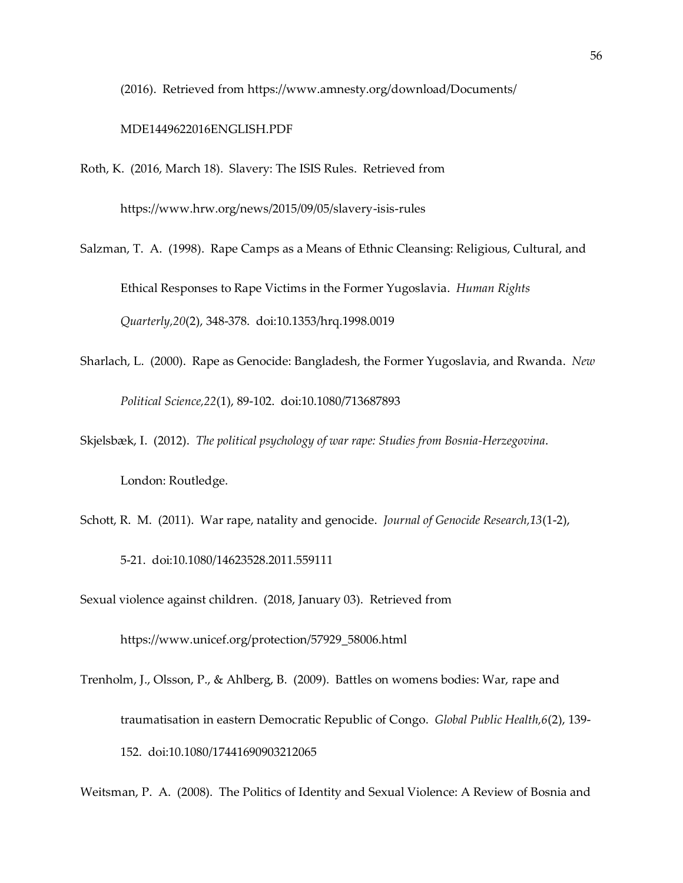(2016). Retrieved from<https://www.amnesty.org/download/Documents/>

## MDE1449622016ENGLISH.PDF

Roth, K. (2016, March 18). Slavery: The ISIS Rules. Retrieved from

<https://www.hrw.org/news/2015/09/05/slavery-isis-rules>

- Salzman, T. A. (1998). Rape Camps as a Means of Ethnic Cleansing: Religious, Cultural, and Ethical Responses to Rape Victims in the Former Yugoslavia. *Human Rights Quarterly,20*(2), 348-378. doi:10.1353/hrq.1998.0019
- Sharlach, L. (2000). Rape as Genocide: Bangladesh, the Former Yugoslavia, and Rwanda. *New Political Science,22*(1), 89-102. doi:10.1080/713687893
- Skjelsbæk, I. (2012). *The political psychology of war rape: Studies from Bosnia-Herzegovina*. London: Routledge.
- Schott, R. M. (2011). War rape, natality and genocide. *Journal of Genocide Research,13*(1-2), 5-21. doi:10.1080/14623528.2011.559111

Sexual violence against children. (2018, January 03). Retrieved from

[https://www.unicef.org/protection/57929\\_58006.html](https://www.unicef.org/protection/57929_58006.html)

Trenholm, J., Olsson, P., & Ahlberg, B. (2009). Battles on womens bodies: War, rape and traumatisation in eastern Democratic Republic of Congo. *Global Public Health,6*(2), 139- 152. doi:10.1080/17441690903212065

Weitsman, P. A. (2008). The Politics of Identity and Sexual Violence: A Review of Bosnia and